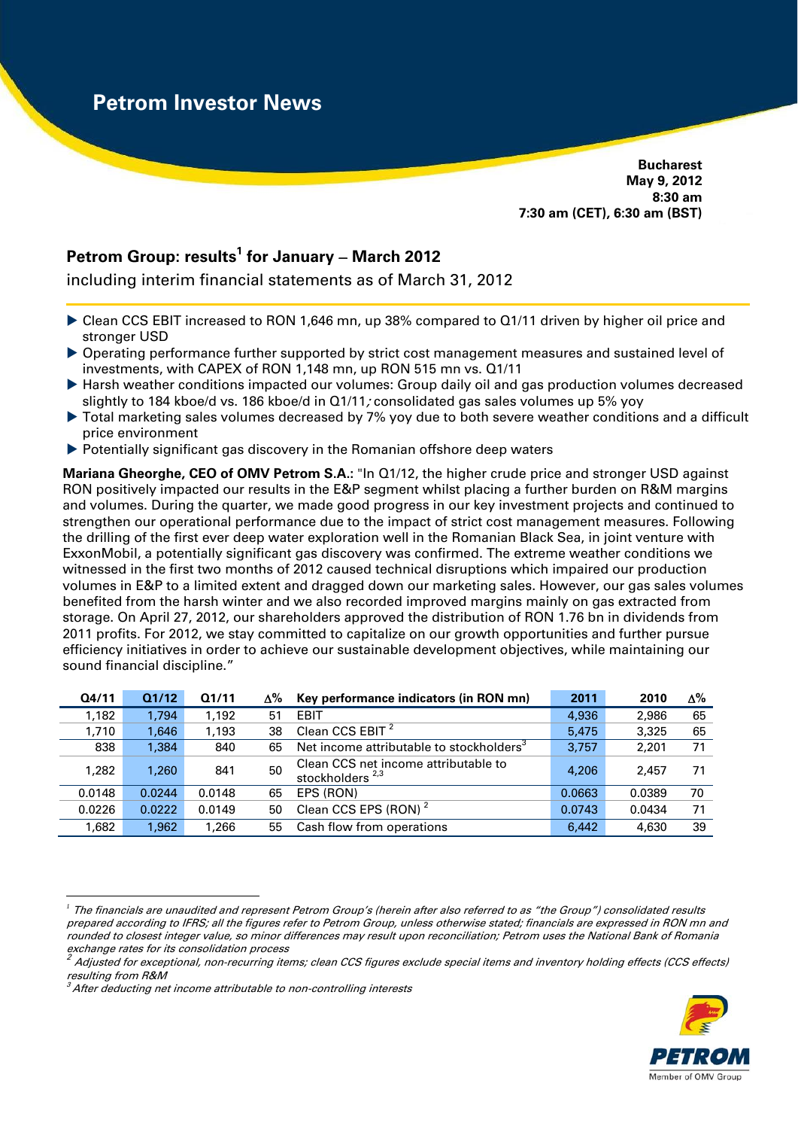**Bucharest May 9, 2012 8:30 am 7:30 am (CET), 6:30 am (BST)** 

# Petrom Group: results<sup>1</sup> for January – March 2012

including interim financial statements as of March 31, 2012

- ▶ Clean CCS EBIT increased to RON 1,646 mn, up 38% compared to Q1/11 driven by higher oil price and stronger USD
- Operating performance further supported by strict cost management measures and sustained level of investments, with CAPEX of RON 1,148 mn, up RON 515 mn vs. Q1/11
- Harsh weather conditions impacted our volumes: Group daily oil and gas production volumes decreased slightly to 184 kboe/d vs. 186 kboe/d in Q1/11; consolidated gas sales volumes up 5% yoy
- ▶ Total marketing sales volumes decreased by 7% yoy due to both severe weather conditions and a difficult price environment
- $\triangleright$  Potentially significant gas discovery in the Romanian offshore deep waters

**Mariana Gheorghe, CEO of OMV Petrom S.A.:** "In Q1/12, the higher crude price and stronger USD against RON positively impacted our results in the E&P segment whilst placing a further burden on R&M margins and volumes. During the quarter, we made good progress in our key investment projects and continued to strengthen our operational performance due to the impact of strict cost management measures. Following the drilling of the first ever deep water exploration well in the Romanian Black Sea, in joint venture with ExxonMobil, a potentially significant gas discovery was confirmed. The extreme weather conditions we witnessed in the first two months of 2012 caused technical disruptions which impaired our production volumes in E&P to a limited extent and dragged down our marketing sales. However, our gas sales volumes benefited from the harsh winter and we also recorded improved margins mainly on gas extracted from storage. On April 27, 2012, our shareholders approved the distribution of RON 1.76 bn in dividends from 2011 profits. For 2012, we stay committed to capitalize on our growth opportunities and further pursue efficiency initiatives in order to achieve our sustainable development objectives, while maintaining our sound financial discipline."

| Q4/11  | Q1/12  | Q1/11  | ∆% | Key performance indicators (in RON mn)                     | 2011   | 2010   | Δ% |
|--------|--------|--------|----|------------------------------------------------------------|--------|--------|----|
| 1,182  | 1.794  | 1,192  | 51 | <b>EBIT</b>                                                | 4,936  | 2,986  | 65 |
| 1,710  | 1.646  | 1,193  | 38 | Clean CCS EBIT $2$                                         | 5.475  | 3.325  | 65 |
| 838    | 1.384  | 840    | 65 | Net income attributable to stockholders <sup>3</sup>       | 3.757  | 2.201  | 71 |
| 1.282  | 1.260  | 841    | 50 | Clean CCS net income attributable to<br>stockholders $2,3$ | 4,206  | 2.457  | 71 |
| 0.0148 | 0.0244 | 0.0148 | 65 | EPS (RON)                                                  | 0.0663 | 0.0389 | 70 |
| 0.0226 | 0.0222 | 0.0149 | 50 | Clean CCS EPS (RON) <sup>2</sup>                           | 0.0743 | 0.0434 | 71 |
| 1.682  | 1.962  | 1.266  | 55 | Cash flow from operations                                  | 6.442  | 4.630  | 39 |

 $\overline{a}$ *<sup>1</sup>* The financials are unaudited and represent Petrom Group's (herein after also referred to as "the Group") consolidated results prepared according to IFRS; all the figures refer to Petrom Group, unless otherwise stated; financials are expressed in RON mn and rounded to closest integer value, so minor differences may result upon reconciliation; Petrom uses the National Bank of Romania exchange rates for its consolidation process



<sup>2.</sup> Adjusted for exceptional, non-recurring items; clean CCS figures exclude special items and inventory holding effects (CCS effects) resulting from R&M

 $3$  After deducting net income attributable to non-controlling interests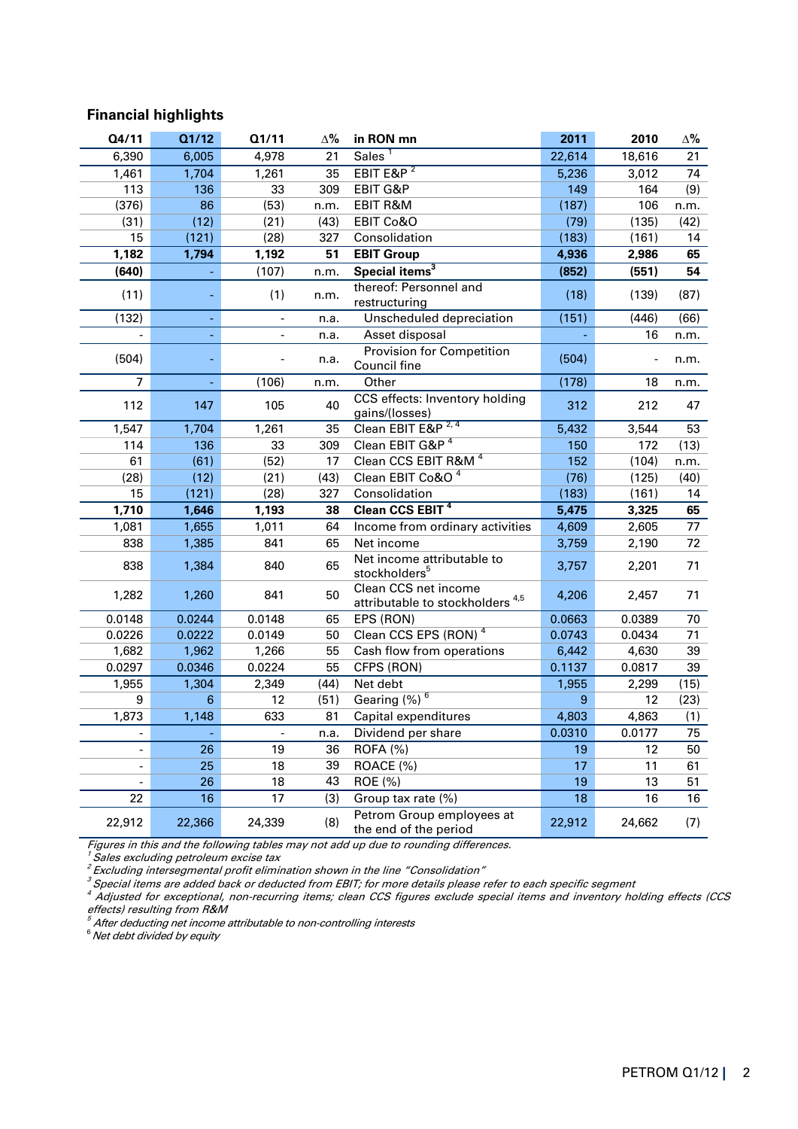# **Financial highlights**

| Q4/11          | Q1/12  | Q1/11                    | $\Delta\%$ | in RON mn                                                           | 2011   | 2010   | Δ%              |
|----------------|--------|--------------------------|------------|---------------------------------------------------------------------|--------|--------|-----------------|
| 6,390          | 6,005  | 4,978                    | 21         | Sales <sup>1</sup>                                                  | 22,614 | 18,616 | 21              |
| 1,461          | 1,704  | 1,261                    | 35         | EBIT E&P $2$                                                        | 5,236  | 3,012  | 74              |
| 113            | 136    | 33                       | 309        | EBIT G&P                                                            | 149    | 164    | (9)             |
| (376)          | 86     | (53)                     | n.m.       | EBIT R&M                                                            | (187)  | 106    | n.m.            |
| (31)           | (12)   | (21)                     | (43)       | EBIT Co&O                                                           | (79)   | (135)  | (42)            |
| 15             | (121)  | (28)                     | 327        | Consolidation                                                       | (183)  | (161)  | 14              |
| 1,182          | 1,794  | 1,192                    | 51         | <b>EBIT Group</b>                                                   | 4,936  | 2,986  | 65              |
| (640)          |        | (107)                    | n.m.       | Special items <sup>3</sup>                                          | (852)  | (551)  | 54              |
| (11)           |        | (1)                      | n.m.       | thereof: Personnel and<br>restructuring                             | (18)   | (139)  | (87)            |
| (132)          |        | $\overline{\phantom{a}}$ | n.a.       | Unscheduled depreciation                                            | (151)  | (446)  | (66)            |
|                |        | $\blacksquare$           | n.a.       | Asset disposal                                                      |        | 16     | n.m.            |
| (504)          |        |                          | n.a.       | Provision for Competition<br>Council fine                           | (504)  |        | n.m.            |
| $\overline{7}$ |        | (106)                    | n.m.       | Other                                                               | (178)  | 18     | n.m.            |
| 112            | 147    | 105                      | 40         | CCS effects: Inventory holding<br>gains/(losses)                    | 312    | 212    | 47              |
| 1,547          | 1,704  | 1,261                    | 35         | Clean EBIT E&P <sup>2,4</sup>                                       | 5,432  | 3,544  | 53              |
| 114            | 136    | 33                       | 309        | Clean EBIT G&P <sup>4</sup>                                         | 150    | 172    | (13)            |
| 61             | (61)   | (52)                     | 17         | Clean CCS EBIT R&M <sup>4</sup>                                     | 152    | (104)  | n.m.            |
| (28)           | (12)   | (21)                     | (43)       | Clean EBIT Co&O <sup>4</sup>                                        | (76)   | (125)  | (40)            |
| 15             | (121)  | (28)                     | 327        | Consolidation                                                       | (183)  | (161)  | 14              |
| 1,710          | 1,646  | 1,193                    | 38         | Clean CCS EBIT <sup>4</sup>                                         | 5,475  | 3,325  | 65              |
| 1,081          | 1,655  | 1,011                    | 64         | Income from ordinary activities                                     | 4,609  | 2,605  | 77              |
| 838            | 1,385  | 841                      | 65         | Net income                                                          | 3,759  | 2,190  | 72              |
| 838            | 1,384  | 840                      | 65         | Net income attributable to<br>stockholders <sup>5</sup>             | 3,757  | 2,201  | 71              |
| 1,282          | 1,260  | 841                      | 50         | Clean CCS net income<br>attributable to stockholders <sup>4,5</sup> | 4,206  | 2,457  | 71              |
| 0.0148         | 0.0244 | 0.0148                   | 65         | EPS (RON)                                                           | 0.0663 | 0.0389 | 70              |
| 0.0226         | 0.0222 | 0.0149                   | 50         | Clean CCS EPS (RON) <sup>4</sup>                                    | 0.0743 | 0.0434 | 71              |
| 1,682          | 1,962  | 1,266                    | 55         | Cash flow from operations                                           | 6,442  | 4,630  | 39              |
| 0.0297         | 0.0346 | 0.0224                   | 55         | CFPS (RON)                                                          | 0.1137 | 0.0817 | 39              |
| 1,955          | 1,304  | 2,349                    | (44)       | Net debt                                                            | 1,955  | 2,299  | (15)            |
| 9              | 6      | 12                       | (51)       | Gearing (%) <sup>6</sup>                                            | 9      | 12     | (23)            |
| 1,873          | 1,148  | 633                      | 81         | Capital expenditures                                                | 4,803  | 4,863  | (1)             |
|                |        | $\overline{\phantom{0}}$ | n.a.       | Dividend per share                                                  | 0.0310 | 0.0177 | $\overline{75}$ |
|                | 26     | 19                       | 36         | <b>ROFA (%)</b>                                                     | 19     | 12     | 50              |
|                | 25     | 18                       | 39         | ROACE (%)                                                           | 17     | 11     | 61              |
|                | 26     | 18                       | 43         | ROE (%)                                                             | 19     | 13     | 51              |
| 22             | 16     | 17                       | (3)        | Group tax rate (%)                                                  | 18     | 16     | 16              |
| 22,912         | 22,366 | 24,339                   | (8)        | Petrom Group employees at<br>the end of the period                  | 22,912 | 24,662 | (7)             |

Figures in this and the following tables may not add up due to rounding differences.<br><sup>1</sup> Sales excluding petroleum excise tax

<sup>2</sup>Excluding intersegmental profit elimination shown in the line "Consolidation"

 $^3$  Special items are added back or deducted from EBIT; for more details please refer to each specific segment

 $^4$  Adjusted for exceptional, non-recurring items; clean CCS figures exclude special items and inventory holding effects (CCS effects) resulting from R&M

 $5$  After deducting net income attributable to non-controlling interests

 $6$ Net debt divided by equity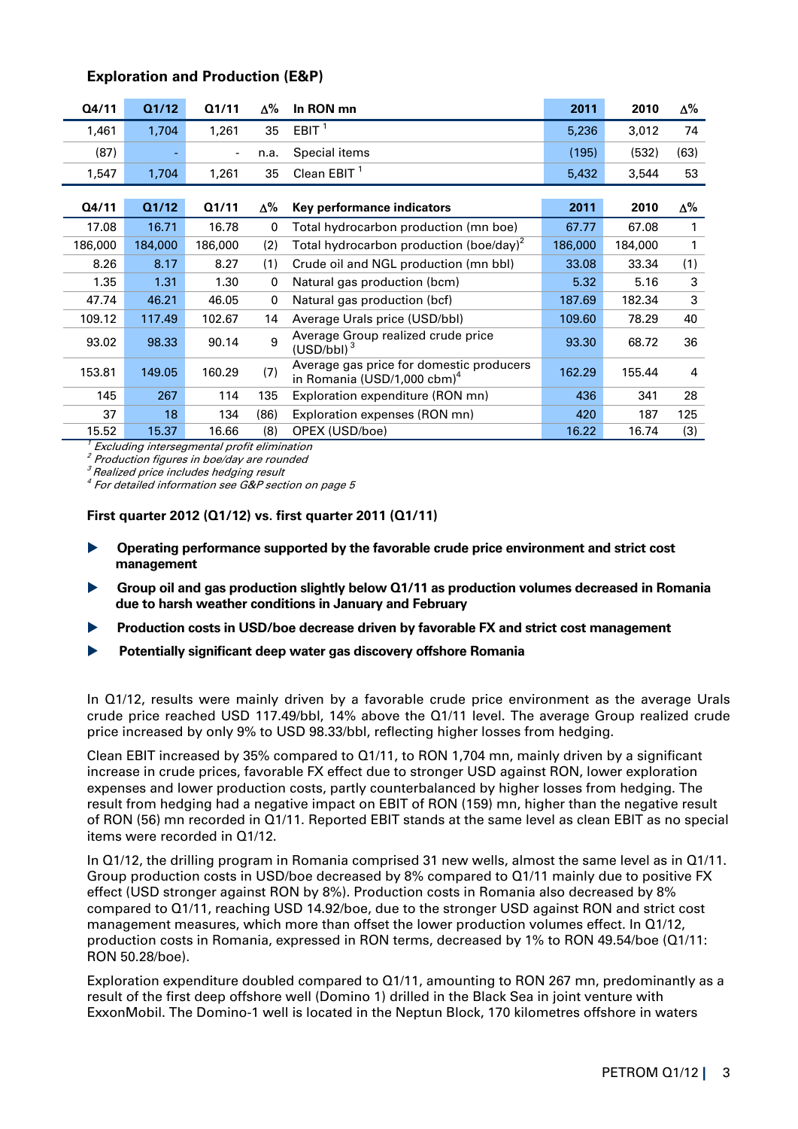| Q4/11   | Q1/12   | Q1/11                    | Δ%   | In RON mn                                                                           | 2011    | 2010    | Δ%   |
|---------|---------|--------------------------|------|-------------------------------------------------------------------------------------|---------|---------|------|
| 1,461   | 1,704   | 1,261                    | 35   | EBIT $1$                                                                            | 5,236   | 3,012   | 74   |
| (87)    |         | $\overline{\phantom{a}}$ | n.a. | Special items                                                                       | (195)   | (532)   | (63) |
| 1,547   | 1,704   | 1,261                    | 35   | Clean EBIT $1$                                                                      | 5,432   | 3,544   | 53   |
|         |         |                          |      |                                                                                     |         |         |      |
| Q4/11   | Q1/12   | Q1/11                    | Δ%   | Key performance indicators                                                          | 2011    | 2010    | Δ%   |
| 17.08   | 16.71   | 16.78                    | 0    | Total hydrocarbon production (mn boe)                                               | 67.77   | 67.08   | 1    |
| 186,000 | 184,000 | 186,000                  | (2)  | Total hydrocarbon production (boe/day) <sup>2</sup>                                 | 186,000 | 184,000 | 1    |
| 8.26    | 8.17    | 8.27                     | (1)  | Crude oil and NGL production (mn bbl)                                               | 33.08   | 33.34   | (1)  |
| 1.35    | 1.31    | 1.30                     | 0    | Natural gas production (bcm)                                                        | 5.32    | 5.16    | 3    |
| 47.74   | 46.21   | 46.05                    | 0    | Natural gas production (bcf)                                                        | 187.69  | 182.34  | 3    |
| 109.12  | 117.49  | 102.67                   | 14   | Average Urals price (USD/bbl)                                                       | 109.60  | 78.29   | 40   |
| 93.02   | 98.33   | 90.14                    | 9    | Average Group realized crude price<br>$(USD/bbl)^3$                                 | 93.30   | 68.72   | 36   |
| 153.81  | 149.05  | 160.29                   | (7)  | Average gas price for domestic producers<br>in Romania (USD/1,000 cbm) <sup>4</sup> | 162.29  | 155.44  | 4    |
| 145     | 267     | 114                      | 135  | Exploration expenditure (RON mn)                                                    | 436     | 341     | 28   |
| 37      | 18      | 134                      | (86) | Exploration expenses (RON mn)                                                       | 420     | 187     | 125  |
| 15.52   | 15.37   | 16.66                    | (8)  | OPEX (USD/boe)                                                                      | 16.22   | 16.74   | (3)  |

# **Exploration and Production (E&P)**

<sup>1</sup> Excluding intersegmental profit elimination

<sup>2</sup> Production figures in boe/day are rounded

 $3$  Realized price includes hedging result

<sup>4</sup> For detailed information see G&P section on page 5

## **First quarter 2012 (Q1/12) vs. first quarter 2011 (Q1/11)**

- **Operating performance supported by the favorable crude price environment and strict cost management**
- **Group oil and gas production slightly below Q1/11 as production volumes decreased in Romania due to harsh weather conditions in January and February**
- **Production costs in USD/boe decrease driven by favorable FX and strict cost management**
- **Potentially significant deep water gas discovery offshore Romania**

In Q1/12, results were mainly driven by a favorable crude price environment as the average Urals crude price reached USD 117.49/bbl, 14% above the Q1/11 level. The average Group realized crude price increased by only 9% to USD 98.33/bbl, reflecting higher losses from hedging.

Clean EBIT increased by 35% compared to Q1/11, to RON 1,704 mn, mainly driven by a significant increase in crude prices, favorable FX effect due to stronger USD against RON, lower exploration expenses and lower production costs, partly counterbalanced by higher losses from hedging. The result from hedging had a negative impact on EBIT of RON (159) mn, higher than the negative result of RON (56) mn recorded in Q1/11. Reported EBIT stands at the same level as clean EBIT as no special items were recorded in Q1/12.

In Q1/12, the drilling program in Romania comprised 31 new wells, almost the same level as in Q1/11. Group production costs in USD/boe decreased by 8% compared to Q1/11 mainly due to positive FX effect (USD stronger against RON by 8%). Production costs in Romania also decreased by 8% compared to Q1/11, reaching USD 14.92/boe, due to the stronger USD against RON and strict cost management measures, which more than offset the lower production volumes effect. In Q1/12, production costs in Romania, expressed in RON terms, decreased by 1% to RON 49.54/boe (Q1/11: RON 50.28/boe).

Exploration expenditure doubled compared to Q1/11, amounting to RON 267 mn, predominantly as a result of the first deep offshore well (Domino 1) drilled in the Black Sea in joint venture with ExxonMobil. The Domino-1 well is located in the Neptun Block, 170 kilometres offshore in waters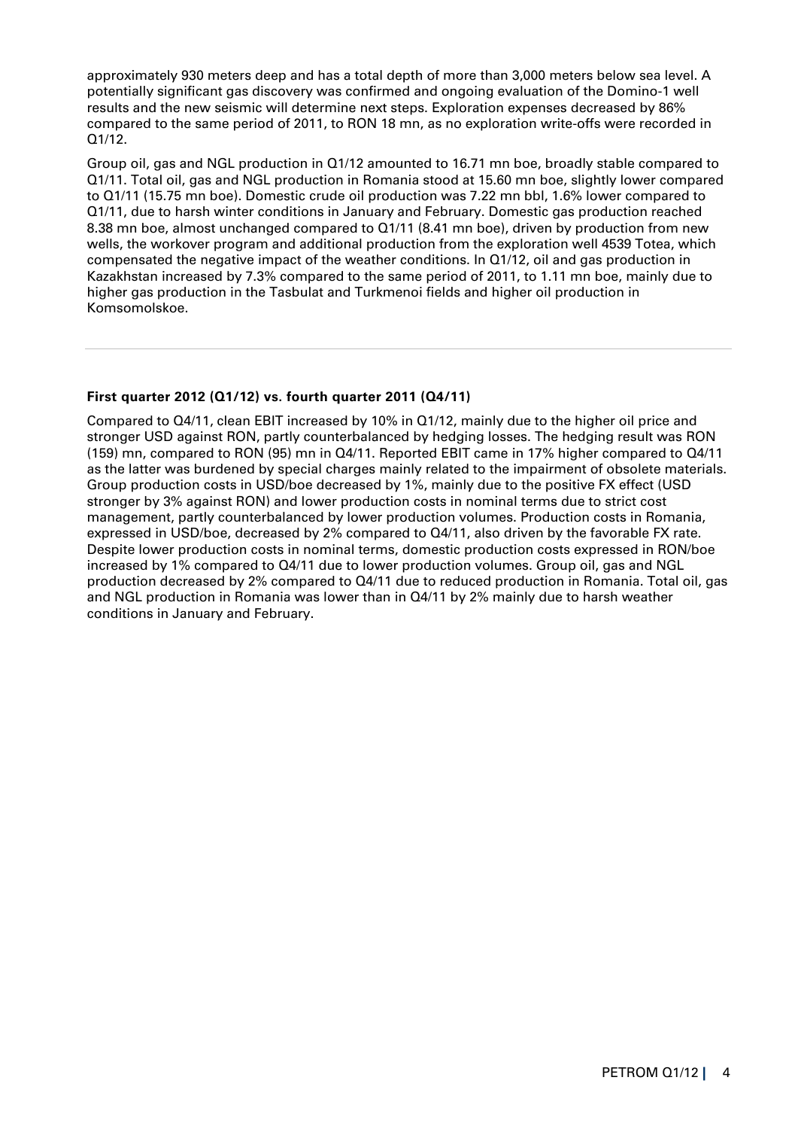approximately 930 meters deep and has a total depth of more than 3,000 meters below sea level. A potentially significant gas discovery was confirmed and ongoing evaluation of the Domino-1 well results and the new seismic will determine next steps. Exploration expenses decreased by 86% compared to the same period of 2011, to RON 18 mn, as no exploration write-offs were recorded in Q1/12.

Group oil, gas and NGL production in Q1/12 amounted to 16.71 mn boe, broadly stable compared to Q1/11. Total oil, gas and NGL production in Romania stood at 15.60 mn boe, slightly lower compared to Q1/11 (15.75 mn boe). Domestic crude oil production was 7.22 mn bbl, 1.6% lower compared to Q1/11, due to harsh winter conditions in January and February. Domestic gas production reached 8.38 mn boe, almost unchanged compared to Q1/11 (8.41 mn boe), driven by production from new wells, the workover program and additional production from the exploration well 4539 Totea, which compensated the negative impact of the weather conditions. In Q1/12, oil and gas production in Kazakhstan increased by 7.3% compared to the same period of 2011, to 1.11 mn boe, mainly due to higher gas production in the Tasbulat and Turkmenoi fields and higher oil production in Komsomolskoe.

# **First quarter 2012 (Q1/12) vs. fourth quarter 2011 (Q4/11)**

Compared to Q4/11, clean EBIT increased by 10% in Q1/12, mainly due to the higher oil price and stronger USD against RON, partly counterbalanced by hedging losses. The hedging result was RON (159) mn, compared to RON (95) mn in Q4/11. Reported EBIT came in 17% higher compared to Q4/11 as the latter was burdened by special charges mainly related to the impairment of obsolete materials. Group production costs in USD/boe decreased by 1%, mainly due to the positive FX effect (USD stronger by 3% against RON) and lower production costs in nominal terms due to strict cost management, partly counterbalanced by lower production volumes. Production costs in Romania, expressed in USD/boe, decreased by 2% compared to Q4/11, also driven by the favorable FX rate. Despite lower production costs in nominal terms, domestic production costs expressed in RON/boe increased by 1% compared to Q4/11 due to lower production volumes. Group oil, gas and NGL production decreased by 2% compared to Q4/11 due to reduced production in Romania. Total oil, gas and NGL production in Romania was lower than in Q4/11 by 2% mainly due to harsh weather conditions in January and February.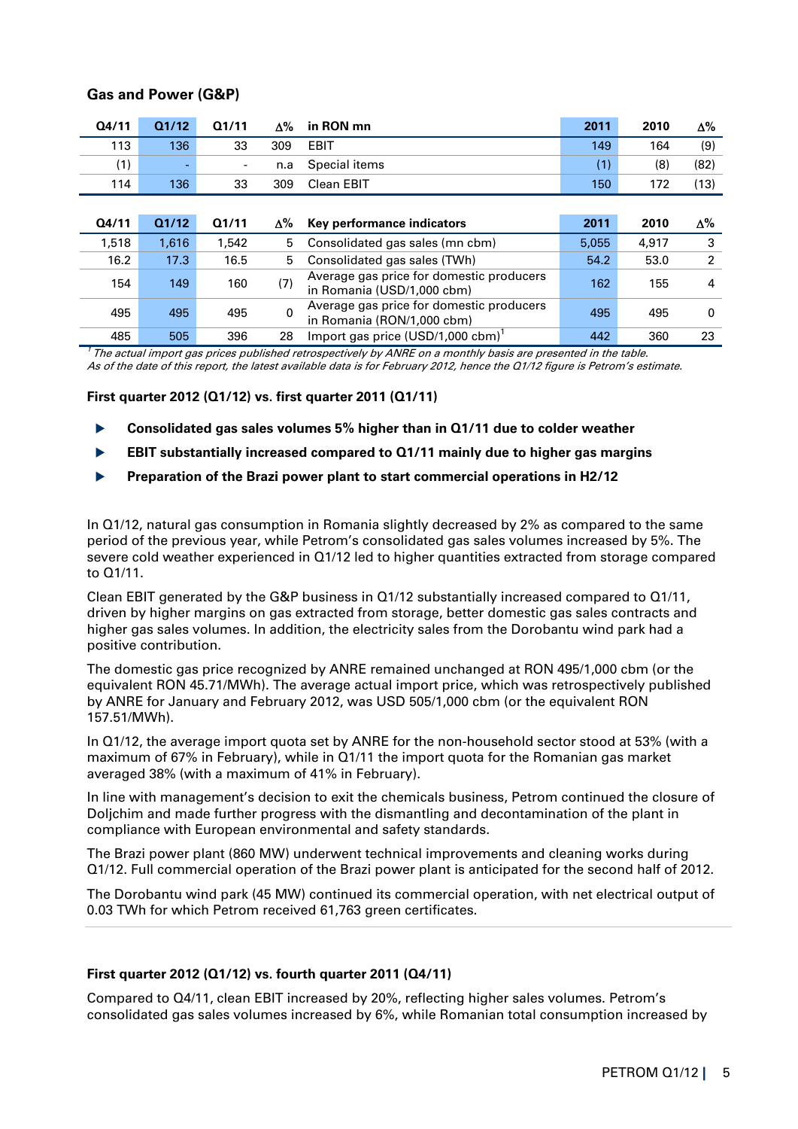| Q4/11 | Q1/12 | Q1/11                    | $\Delta\%$ | in RON mn                                                              | 2011  | 2010  | Δ%             |
|-------|-------|--------------------------|------------|------------------------------------------------------------------------|-------|-------|----------------|
| 113   | 136   | 33                       | 309        | <b>EBIT</b>                                                            | 149   | 164   | (9)            |
| (1)   |       | $\overline{\phantom{a}}$ | n.a        | Special items                                                          | (1)   | (8)   | (82)           |
| 114   | 136   | 33                       | 309        | Clean EBIT                                                             | 150   | 172   | (13)           |
|       |       |                          |            |                                                                        |       |       |                |
| Q4/11 | Q1/12 | Q1/11                    | Δ%         | Key performance indicators                                             | 2011  | 2010  | Δ%             |
| 1,518 | 1.616 | 1.542                    | 5          | Consolidated gas sales (mn cbm)                                        | 5.055 | 4,917 | 3              |
| 16.2  | 17.3  | 16.5                     | 5          | Consolidated gas sales (TWh)                                           | 54.2  | 53.0  | $\overline{2}$ |
| 154   | 149   | 160                      | (7)        | Average gas price for domestic producers<br>in Romania (USD/1,000 cbm) | 162   | 155   | 4              |
| 495   | 495   | 495                      | 0          | Average gas price for domestic producers<br>in Romania (RON/1,000 cbm) | 495   | 495   | 0              |
| 485   | 505   | 396                      | 28         | Import gas price $(USD/1,000 \text{ cbm})^1$                           | 442   | 360   | 23             |

## **Gas and Power (G&P)**

 $17$  The actual import gas prices published retrospectively by ANRE on a monthly basis are presented in the table. As of the date of this report, the latest available data is for February 2012, hence the Q1/12 figure is Petrom's estimate.

## **First quarter 2012 (Q1/12) vs. first quarter 2011 (Q1/11)**

- **Consolidated gas sales volumes 5% higher than in Q1/11 due to colder weather**
- **EBIT substantially increased compared to Q1/11 mainly due to higher gas margins**
- **Preparation of the Brazi power plant to start commercial operations in H2/12**

In Q1/12, natural gas consumption in Romania slightly decreased by 2% as compared to the same period of the previous year, while Petrom's consolidated gas sales volumes increased by 5%. The severe cold weather experienced in Q1/12 led to higher quantities extracted from storage compared to Q1/11.

Clean EBIT generated by the G&P business in Q1/12 substantially increased compared to Q1/11, driven by higher margins on gas extracted from storage, better domestic gas sales contracts and higher gas sales volumes. In addition, the electricity sales from the Dorobantu wind park had a positive contribution.

The domestic gas price recognized by ANRE remained unchanged at RON 495/1,000 cbm (or the equivalent RON 45.71/MWh). The average actual import price, which was retrospectively published by ANRE for January and February 2012, was USD 505/1,000 cbm (or the equivalent RON 157.51/MWh).

In Q1/12, the average import quota set by ANRE for the non-household sector stood at 53% (with a maximum of 67% in February), while in Q1/11 the import quota for the Romanian gas market averaged 38% (with a maximum of 41% in February).

In line with management's decision to exit the chemicals business, Petrom continued the closure of Doljchim and made further progress with the dismantling and decontamination of the plant in compliance with European environmental and safety standards.

The Brazi power plant (860 MW) underwent technical improvements and cleaning works during Q1/12. Full commercial operation of the Brazi power plant is anticipated for the second half of 2012.

The Dorobantu wind park (45 MW) continued its commercial operation, with net electrical output of 0.03 TWh for which Petrom received 61,763 green certificates.

#### **First quarter 2012 (Q1/12) vs. fourth quarter 2011 (Q4/11)**

Compared to Q4/11, clean EBIT increased by 20%, reflecting higher sales volumes. Petrom's consolidated gas sales volumes increased by 6%, while Romanian total consumption increased by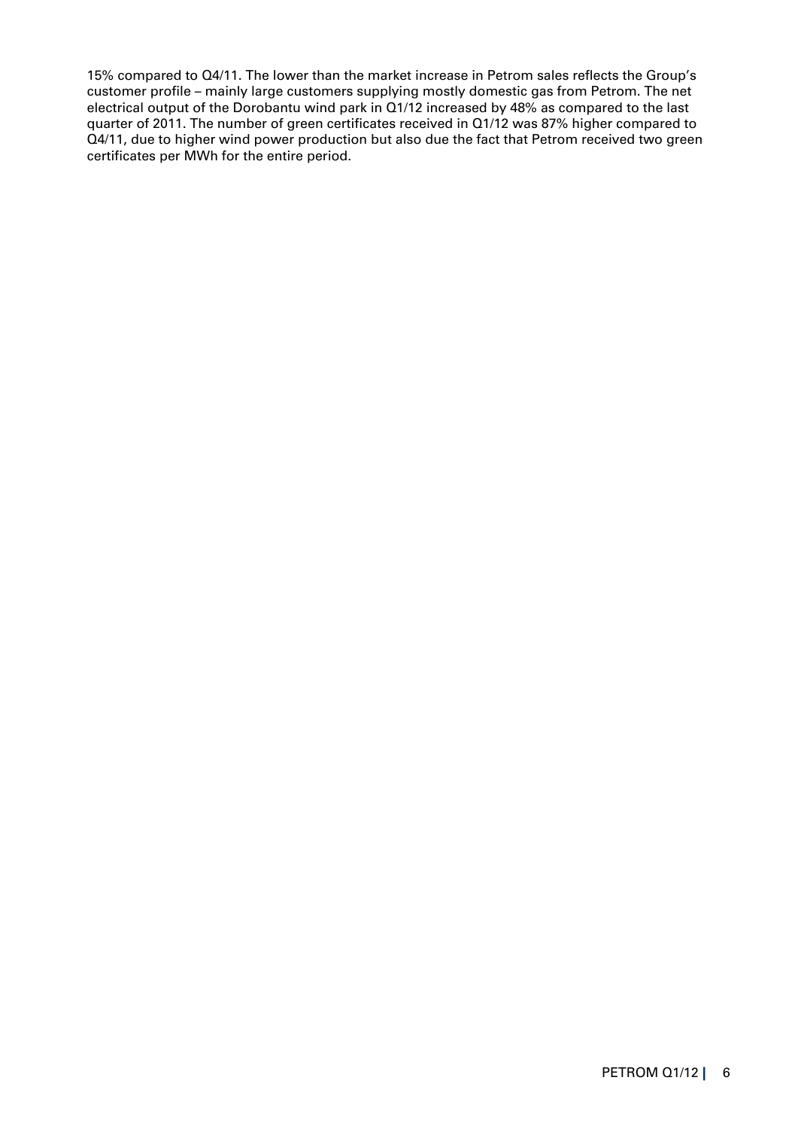15% compared to Q4/11. The lower than the market increase in Petrom sales reflects the Group's customer profile – mainly large customers supplying mostly domestic gas from Petrom. The net electrical output of the Dorobantu wind park in Q1/12 increased by 48% as compared to the last quarter of 2011. The number of green certificates received in Q1/12 was 87% higher compared to Q4/11, due to higher wind power production but also due the fact that Petrom received two green certificates per MWh for the entire period.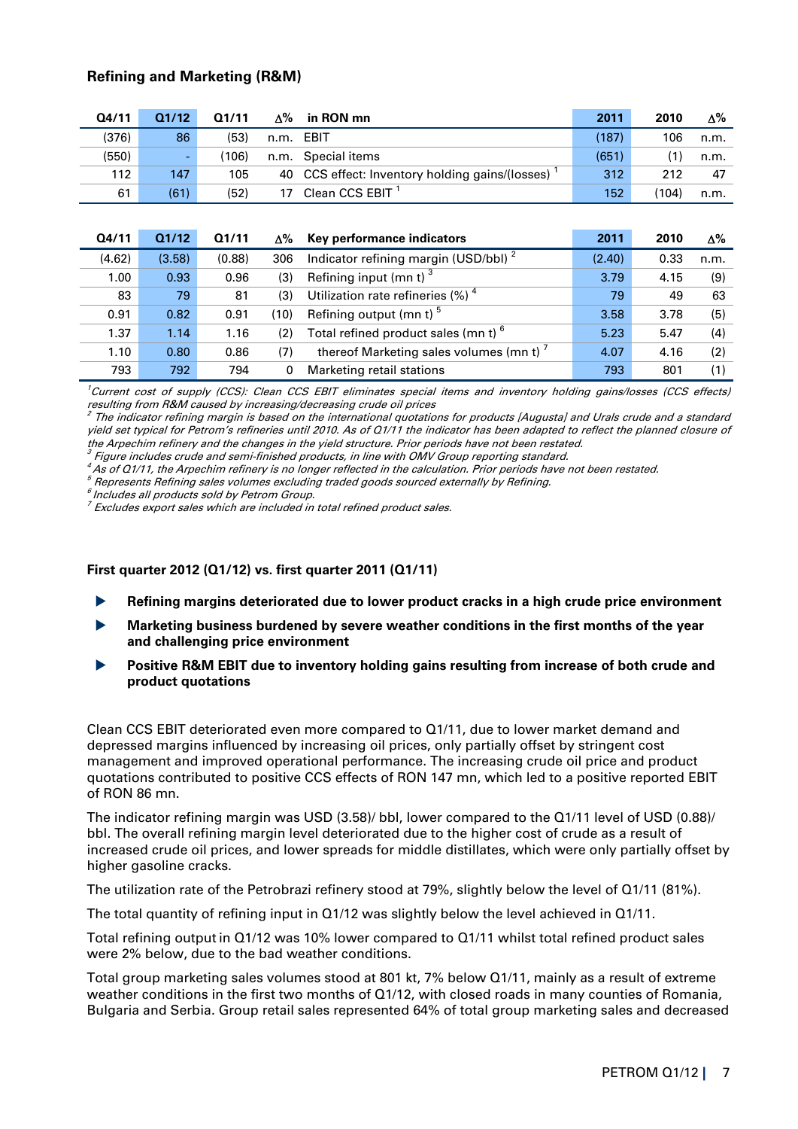# **Refining and Marketing (R&M)**

| Q4/11 | Q1/12 | 01/11 | ∆% | in RON mn                                         | 2011  | 2010  | Δ%   |
|-------|-------|-------|----|---------------------------------------------------|-------|-------|------|
| (376) | 86    | (53)  |    | n.m. EBIT                                         | (187) | 106   | n.m. |
| (550) | ٠     | 106)  |    | n.m. Special items                                | (651) | (1)   | n.m. |
| 112   | 147   | 105   |    | 40 CCS effect: Inventory holding gains/(losses) ' | 312   | 212   | 47   |
| 61    | (61)  | (52)  | 17 | Clean CCS EBIT <sup>1</sup>                       | 152   | (104) | n.m. |
|       |       |       |    |                                                   |       |       |      |

| Q4/11  | Q1/12  | Q1/11  | Δ%   | Key performance indicators                       | 2011   | 2010 | $\Delta\%$ |
|--------|--------|--------|------|--------------------------------------------------|--------|------|------------|
| (4.62) | (3.58) | (0.88) | 306  | Indicator refining margin (USD/bbl) <sup>2</sup> | (2.40) | 0.33 | n.m.       |
| 1.00   | 0.93   | 0.96   | (3)  | Refining input (mn t) $3$                        | 3.79   | 4.15 | (9)        |
| 83     | 79     | 81     | (3)  | Utilization rate refineries $(\%)$ <sup>4</sup>  | 79     | 49   | 63         |
| 0.91   | 0.82   | 0.91   | (10) | Refining output (mn t) <sup>5</sup>              | 3.58   | 3.78 | (5)        |
| 1.37   | 1.14   | 1.16   | (2)  | Total refined product sales (mn t) <sup>o</sup>  | 5.23   | 5.47 | (4)        |
| 1.10   | 0.80   | 0.86   | (7)  | thereof Marketing sales volumes (mn t)'          | 4.07   | 4.16 | (2)        |
| 793    | 792    | 794    | 0    | Marketing retail stations                        | 793    | 801  | (1)        |

<sup>1</sup>Current cost of supply (CCS): Clean CCS EBIT eliminates special items and inventory holding gains/losses (CCS effects) resulting from R&M caused by increasing/decreasing crude oil prices

 $2$  The indicator refining margin is based on the international quotations for products [Augusta] and Urals crude and a standard yield set typical for Petrom's refineries until 2010. As of Q1/11 the indicator has been adapted to reflect the planned closure of the Arpechim refinery and the changes in the yield structure. Prior periods have not been restated.

<sup>3</sup> Figure includes crude and semi-finished products, in line with OMV Group reporting standard.

 $^{4}$ As of Q1/11, the Arpechim refinery is no longer reflected in the calculation. Prior periods have not been restated.

<sup>5</sup> Represents Refining sales volumes excluding traded goods sourced externally by Refining.

<sup>6</sup>Includes all products sold by Petrom Group.

<sup>7</sup> Excludes export sales which are included in total refined product sales.

#### **First quarter 2012 (Q1/12) vs. first quarter 2011 (Q1/11)**

- **Refining margins deteriorated due to lower product cracks in a high crude price environment**
- **Marketing business burdened by severe weather conditions in the first months of the year and challenging price environment**
- **Positive R&M EBIT due to inventory holding gains resulting from increase of both crude and product quotations**

Clean CCS EBIT deteriorated even more compared to Q1/11, due to lower market demand and depressed margins influenced by increasing oil prices, only partially offset by stringent cost management and improved operational performance. The increasing crude oil price and product quotations contributed to positive CCS effects of RON 147 mn, which led to a positive reported EBIT of RON 86 mn.

The indicator refining margin was USD (3.58)/ bbl, lower compared to the Q1/11 level of USD (0.88)/ bbl. The overall refining margin level deteriorated due to the higher cost of crude as a result of increased crude oil prices, and lower spreads for middle distillates, which were only partially offset by higher gasoline cracks.

The utilization rate of the Petrobrazi refinery stood at 79%, slightly below the level of Q1/11 (81%).

The total quantity of refining input in Q1/12 was slightly below the level achieved in Q1/11.

Total refining output in Q1/12 was 10% lower compared to Q1/11 whilst total refined product sales were 2% below, due to the bad weather conditions.

Total group marketing sales volumes stood at 801 kt, 7% below Q1/11, mainly as a result of extreme weather conditions in the first two months of Q1/12, with closed roads in many counties of Romania, Bulgaria and Serbia. Group retail sales represented 64% of total group marketing sales and decreased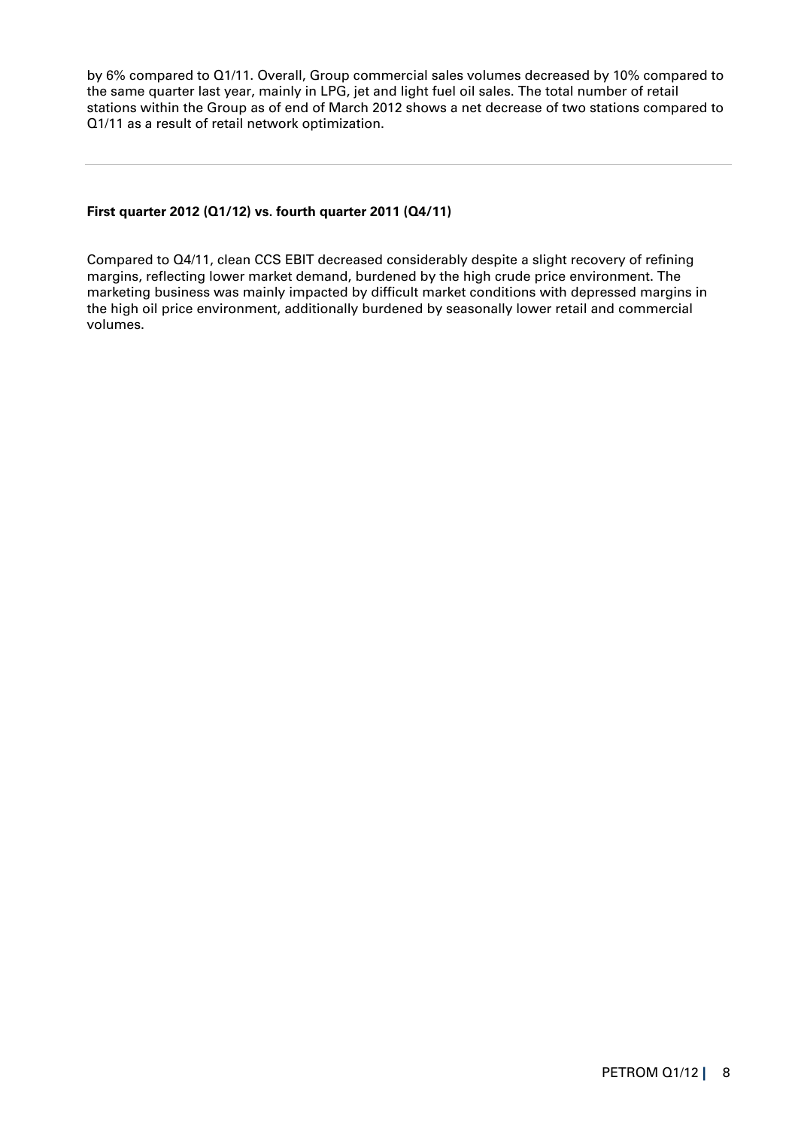by 6% compared to Q1/11. Overall, Group commercial sales volumes decreased by 10% compared to the same quarter last year, mainly in LPG, jet and light fuel oil sales. The total number of retail stations within the Group as of end of March 2012 shows a net decrease of two stations compared to Q1/11 as a result of retail network optimization.

## **First quarter 2012 (Q1/12) vs. fourth quarter 2011 (Q4/11)**

Compared to Q4/11, clean CCS EBIT decreased considerably despite a slight recovery of refining margins, reflecting lower market demand, burdened by the high crude price environment. The marketing business was mainly impacted by difficult market conditions with depressed margins in the high oil price environment, additionally burdened by seasonally lower retail and commercial volumes.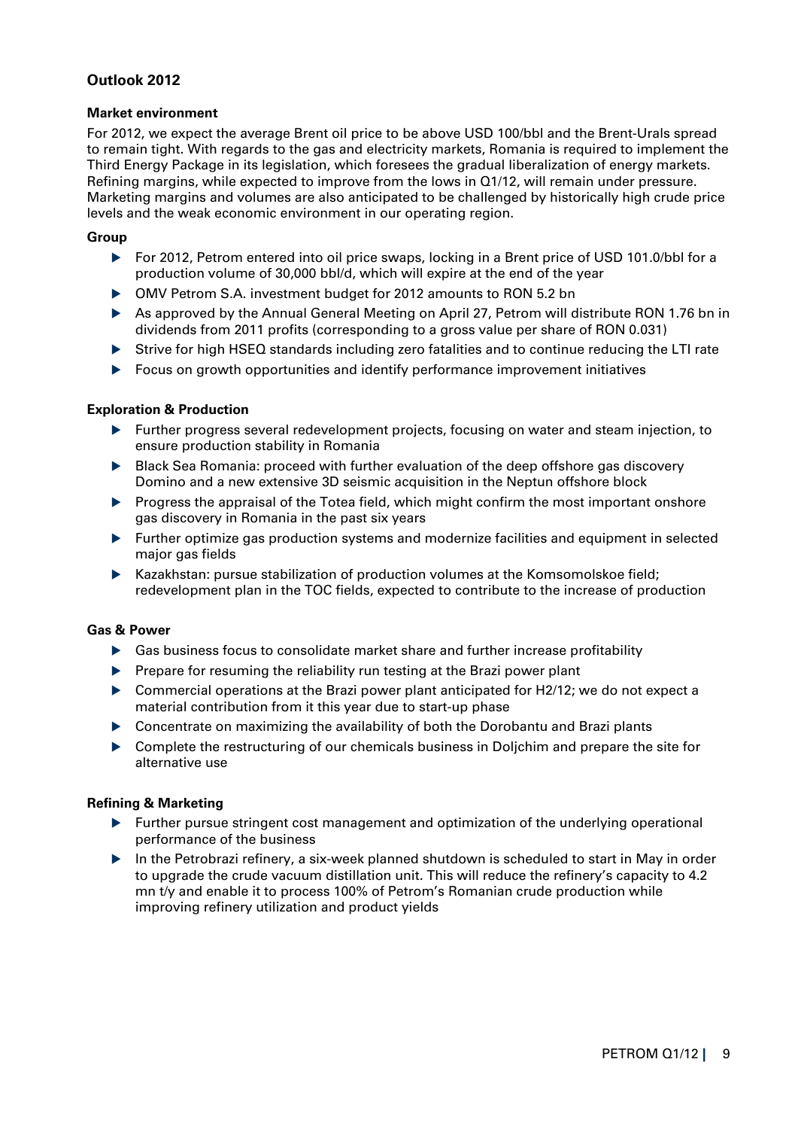# **Outlook 2012**

### **Market environment**

For 2012, we expect the average Brent oil price to be above USD 100/bbl and the Brent-Urals spread to remain tight. With regards to the gas and electricity markets, Romania is required to implement the Third Energy Package in its legislation, which foresees the gradual liberalization of energy markets. Refining margins, while expected to improve from the lows in Q1/12, will remain under pressure. Marketing margins and volumes are also anticipated to be challenged by historically high crude price levels and the weak economic environment in our operating region.

### **Group**

- For 2012, Petrom entered into oil price swaps, locking in a Brent price of USD 101.0/bbl for a production volume of 30,000 bbl/d, which will expire at the end of the year
- OMV Petrom S.A. investment budget for 2012 amounts to RON 5.2 bn
- As approved by the Annual General Meeting on April 27, Petrom will distribute RON 1.76 bn in dividends from 2011 profits (corresponding to a gross value per share of RON 0.031)
- Strive for high HSEQ standards including zero fatalities and to continue reducing the LTI rate
- Focus on growth opportunities and identify performance improvement initiatives

## **Exploration & Production**

- Further progress several redevelopment projects, focusing on water and steam injection, to ensure production stability in Romania
- ▶ Black Sea Romania: proceed with further evaluation of the deep offshore gas discovery Domino and a new extensive 3D seismic acquisition in the Neptun offshore block
- Progress the appraisal of the Totea field, which might confirm the most important onshore gas discovery in Romania in the past six years
- Further optimize gas production systems and modernize facilities and equipment in selected major gas fields
- Kazakhstan: pursue stabilization of production volumes at the Komsomolskoe field; redevelopment plan in the TOC fields, expected to contribute to the increase of production

## **Gas & Power**

- Gas business focus to consolidate market share and further increase profitability
- $\blacktriangleright$  Prepare for resuming the reliability run testing at the Brazi power plant
- Commercial operations at the Brazi power plant anticipated for H2/12; we do not expect a material contribution from it this year due to start-up phase
- Concentrate on maximizing the availability of both the Dorobantu and Brazi plants
- Complete the restructuring of our chemicals business in Doljchim and prepare the site for alternative use

## **Refining & Marketing**

- $\blacktriangleright$  Further pursue stringent cost management and optimization of the underlying operational performance of the business
- In the Petrobrazi refinery, a six-week planned shutdown is scheduled to start in May in order to upgrade the crude vacuum distillation unit. This will reduce the refinery's capacity to 4.2 mn t/y and enable it to process 100% of Petrom's Romanian crude production while improving refinery utilization and product yields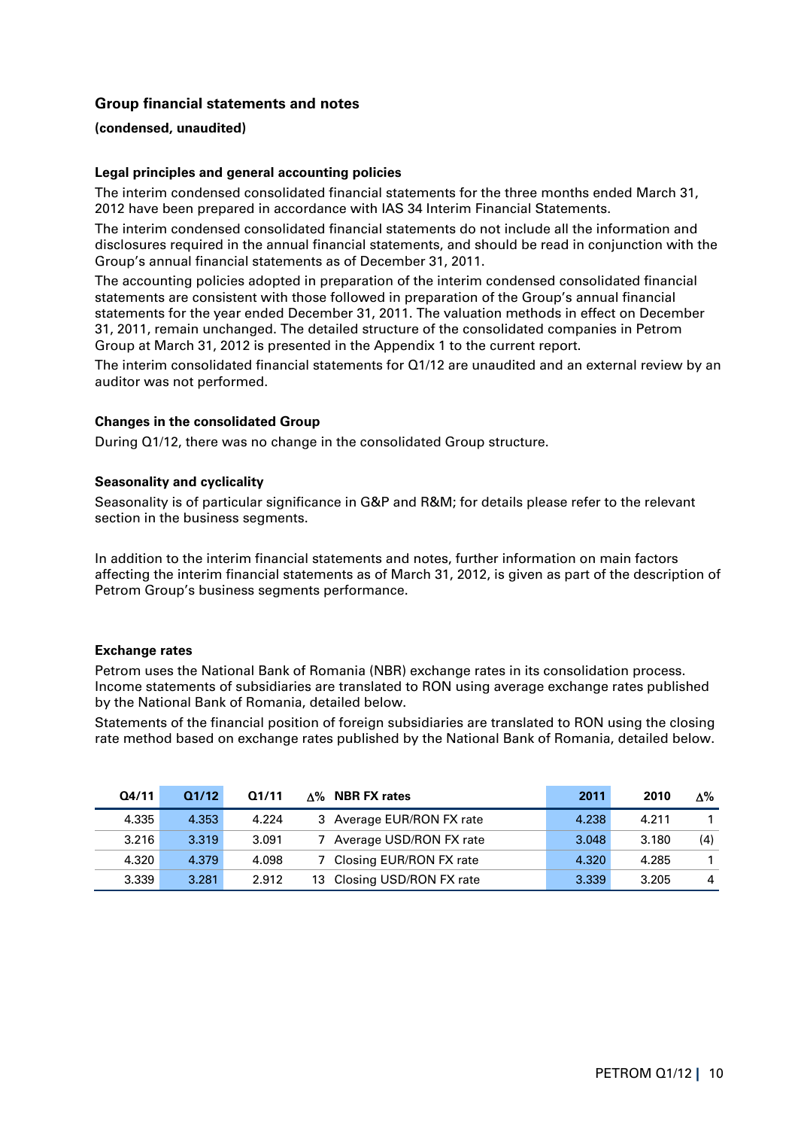# **Group financial statements and notes**

#### **(condensed, unaudited)**

#### **Legal principles and general accounting policies**

The interim condensed consolidated financial statements for the three months ended March 31, 2012 have been prepared in accordance with IAS 34 Interim Financial Statements.

The interim condensed consolidated financial statements do not include all the information and disclosures required in the annual financial statements, and should be read in conjunction with the Group's annual financial statements as of December 31, 2011.

The accounting policies adopted in preparation of the interim condensed consolidated financial statements are consistent with those followed in preparation of the Group's annual financial statements for the year ended December 31, 2011. The valuation methods in effect on December 31, 2011, remain unchanged. The detailed structure of the consolidated companies in Petrom Group at March 31, 2012 is presented in the Appendix 1 to the current report.

The interim consolidated financial statements for Q1/12 are unaudited and an external review by an auditor was not performed.

#### **Changes in the consolidated Group**

During Q1/12, there was no change in the consolidated Group structure.

#### **Seasonality and cyclicality**

Seasonality is of particular significance in G&P and R&M; for details please refer to the relevant section in the business segments.

In addition to the interim financial statements and notes, further information on main factors affecting the interim financial statements as of March 31, 2012, is given as part of the description of Petrom Group's business segments performance.

#### **Exchange rates**

Petrom uses the National Bank of Romania (NBR) exchange rates in its consolidation process. Income statements of subsidiaries are translated to RON using average exchange rates published by the National Bank of Romania, detailed below.

Statements of the financial position of foreign subsidiaries are translated to RON using the closing rate method based on exchange rates published by the National Bank of Romania, detailed below.

| Q4/11 | Q1/12 | Q1/11 | $\Delta\%$ NBR FX rates    | 2011  | 2010  | Δ%  |
|-------|-------|-------|----------------------------|-------|-------|-----|
| 4.335 | 4.353 | 4.224 | 3 Average EUR/RON FX rate  | 4.238 | 4.211 |     |
| 3.216 | 3.319 | 3.091 | Average USD/RON FX rate    | 3.048 | 3.180 | (4) |
| 4.320 | 4.379 | 4.098 | 7 Closing EUR/RON FX rate  | 4.320 | 4.285 |     |
| 3.339 | 3.281 | 2.912 | 13 Closing USD/RON FX rate | 3.339 | 3.205 |     |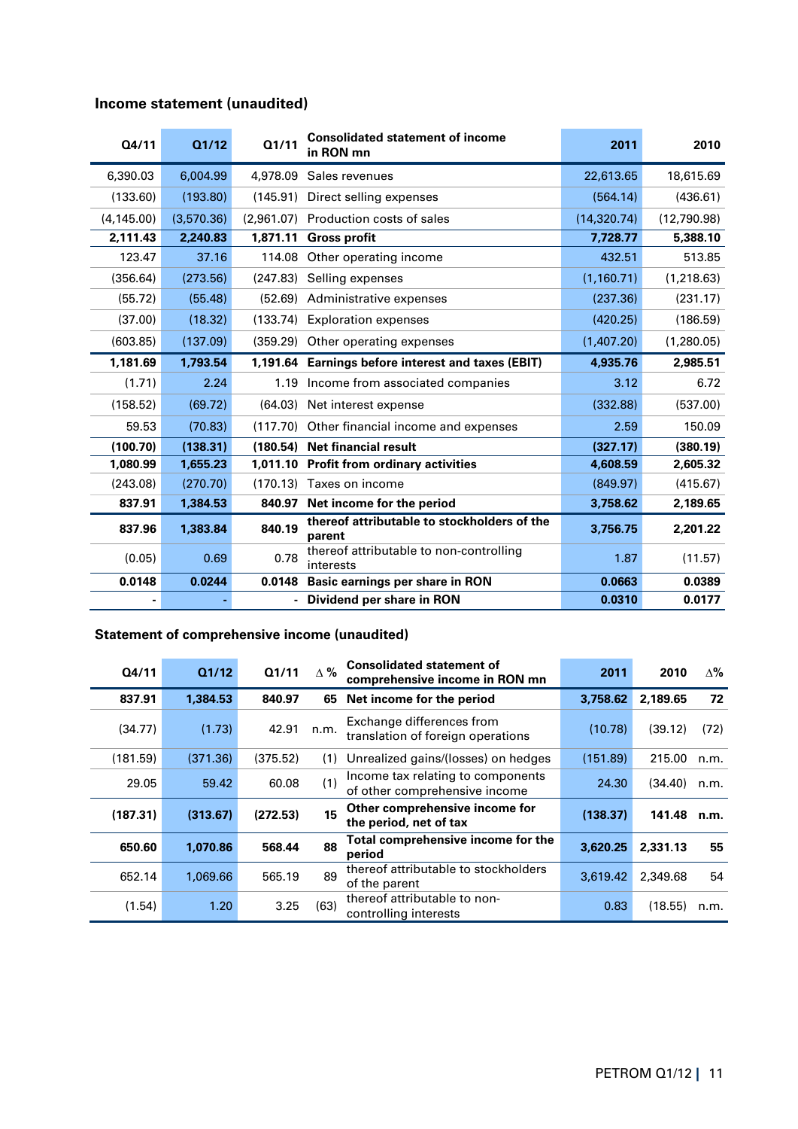| Q4/11       | Q1/12      | Q1/11    | <b>Consolidated statement of income</b><br>in RON mn  | 2011         | 2010        |
|-------------|------------|----------|-------------------------------------------------------|--------------|-------------|
| 6.390.03    | 6.004.99   | 4,978,09 | Sales revenues                                        | 22,613.65    | 18,615.69   |
| (133.60)    | (193.80)   | (145.91) | Direct selling expenses                               | (564.14)     | (436.61)    |
| (4, 145.00) | (3,570.36) |          | (2.961.07) Production costs of sales                  | (14, 320.74) | (12,790.98) |
| 2,111.43    | 2,240.83   | 1,871.11 | <b>Gross profit</b>                                   | 7,728.77     | 5,388.10    |
| 123.47      | 37.16      | 114.08   | Other operating income                                | 432.51       | 513.85      |
| (356.64)    | (273.56)   | (247.83) | Selling expenses                                      | (1, 160.71)  | (1, 218.63) |
| (55.72)     | (55.48)    | (52.69)  | Administrative expenses                               | (237.36)     | (231.17)    |
| (37.00)     | (18.32)    | (133.74) | <b>Exploration expenses</b>                           | (420.25)     | (186.59)    |
| (603.85)    | (137.09)   | (359.29) | Other operating expenses                              | (1,407.20)   | (1,280.05)  |
|             |            |          |                                                       |              |             |
| 1,181.69    | 1.793.54   |          | 1,191.64 Earnings before interest and taxes (EBIT)    | 4,935.76     | 2,985.51    |
| (1.71)      | 2.24       | 1.19     | Income from associated companies                      | 3.12         | 6.72        |
| (158.52)    | (69.72)    | (64.03)  | Net interest expense                                  | (332.88)     | (537.00)    |
| 59.53       | (70.83)    |          | (117.70) Other financial income and expenses          | 2.59         | 150.09      |
| (100.70)    | (138.31)   | (180.54) | Net financial result                                  | (327.17)     | (380.19)    |
| 1,080.99    | 1.655.23   |          | 1,011.10 Profit from ordinary activities              | 4,608.59     | 2,605.32    |
| (243.08)    | (270.70)   | (170.13) | Taxes on income                                       | (849.97)     | (415.67)    |
| 837.91      | 1,384.53   | 840.97   | Net income for the period                             | 3,758.62     | 2,189.65    |
| 837.96      | 1,383.84   | 840.19   | thereof attributable to stockholders of the<br>parent | 3,756,75     | 2,201.22    |

# **Income statement (unaudited)**

#### **Statement of comprehensive income (unaudited)**

| Q4/11    | Q1/12    | Q1/11    | $\Delta \%$ | <b>Consolidated statement of</b><br>comprehensive income in RON mn | 2011     | 2010     | $\Delta\%$ |
|----------|----------|----------|-------------|--------------------------------------------------------------------|----------|----------|------------|
| 837.91   | 1,384.53 | 840.97   | 65          | Net income for the period                                          | 3,758.62 | 2,189.65 | 72         |
| (34.77)  | (1.73)   | 42.91    | n.m.        | Exchange differences from<br>translation of foreign operations     | (10.78)  | (39.12)  | (72)       |
| (181.59) | (371.36) | (375.52) | (1)         | Unrealized gains/(losses) on hedges                                | (151.89) | 215.00   | n.m.       |
| 29.05    | 59.42    | 60.08    | (1)         | Income tax relating to components<br>of other comprehensive income | 24.30    | (34.40)  | n.m.       |
| (187.31) | (313.67) | (272.53) | 15          | Other comprehensive income for<br>the period, net of tax           | (138.37) | 141.48   | n.m.       |
| 650.60   | 1.070.86 | 568.44   | 88          | Total comprehensive income for the<br>period                       | 3,620.25 | 2,331.13 | 55         |
| 652.14   | 1,069.66 | 565.19   | 89          | thereof attributable to stockholders<br>3,619.42<br>of the parent  |          | 2,349.68 | 54         |
| (1.54)   | 1.20     | 3.25     | (63)        | thereof attributable to non-<br>controlling interests              | 0.83     | (18.55)  | n.m.       |

**0.0148 0.0244 0.0148 Basic earnings per share in RON 0.0663 0.0389 1 1 1 1 1 Dividend per share in RON 0.0310 <b>0.0177**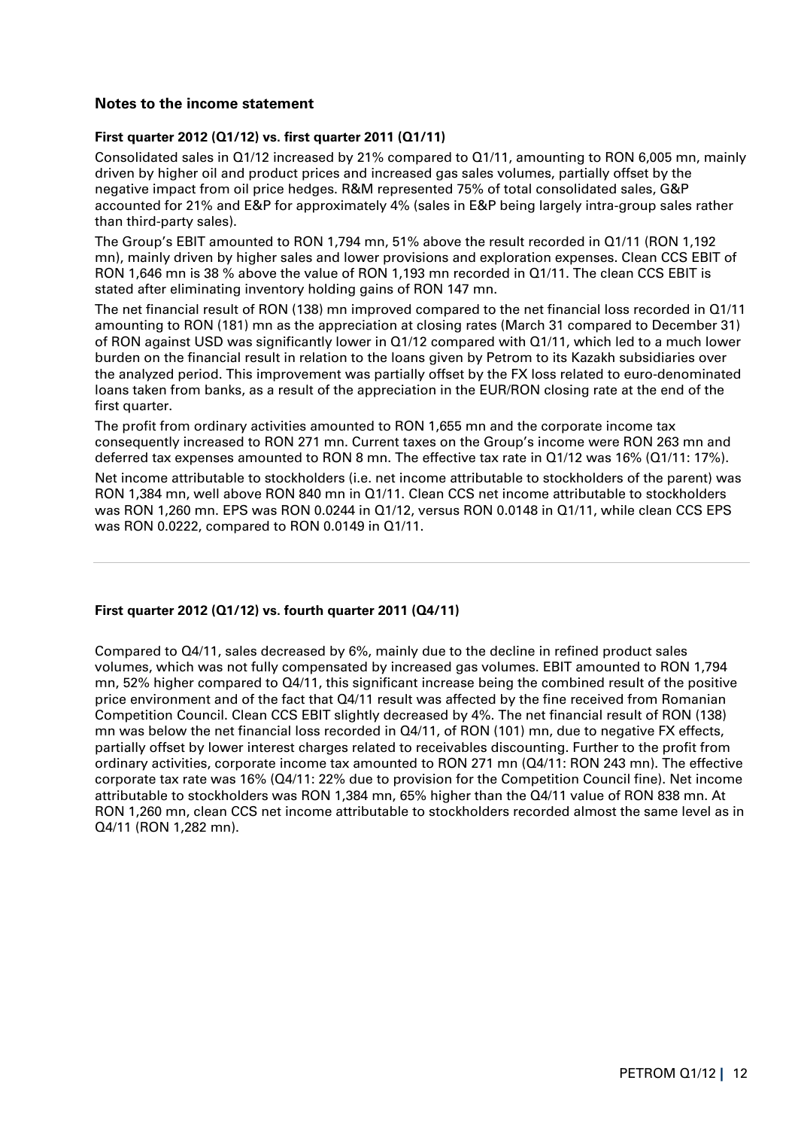# **Notes to the income statement**

### **First quarter 2012 (Q1/12) vs. first quarter 2011 (Q1/11)**

Consolidated sales in Q1/12 increased by 21% compared to Q1/11, amounting to RON 6,005 mn, mainly driven by higher oil and product prices and increased gas sales volumes, partially offset by the negative impact from oil price hedges. R&M represented 75% of total consolidated sales, G&P accounted for 21% and E&P for approximately 4% (sales in E&P being largely intra-group sales rather than third-party sales).

The Group's EBIT amounted to RON 1,794 mn, 51% above the result recorded in Q1/11 (RON 1,192 mn), mainly driven by higher sales and lower provisions and exploration expenses. Clean CCS EBIT of RON 1,646 mn is 38 % above the value of RON 1,193 mn recorded in Q1/11. The clean CCS EBIT is stated after eliminating inventory holding gains of RON 147 mn.

The net financial result of RON (138) mn improved compared to the net financial loss recorded in Q1/11 amounting to RON (181) mn as the appreciation at closing rates (March 31 compared to December 31) of RON against USD was significantly lower in Q1/12 compared with Q1/11, which led to a much lower burden on the financial result in relation to the loans given by Petrom to its Kazakh subsidiaries over the analyzed period. This improvement was partially offset by the FX loss related to euro-denominated loans taken from banks, as a result of the appreciation in the EUR/RON closing rate at the end of the first quarter.

The profit from ordinary activities amounted to RON 1,655 mn and the corporate income tax consequently increased to RON 271 mn. Current taxes on the Group's income were RON 263 mn and deferred tax expenses amounted to RON 8 mn. The effective tax rate in Q1/12 was 16% (Q1/11: 17%).

Net income attributable to stockholders (i.e. net income attributable to stockholders of the parent) was RON 1,384 mn, well above RON 840 mn in Q1/11. Clean CCS net income attributable to stockholders was RON 1,260 mn. EPS was RON 0.0244 in Q1/12, versus RON 0.0148 in Q1/11, while clean CCS EPS was RON 0.0222, compared to RON 0.0149 in Q1/11.

#### **First quarter 2012 (Q1/12) vs. fourth quarter 2011 (Q4/11)**

Compared to Q4/11, sales decreased by 6%, mainly due to the decline in refined product sales volumes, which was not fully compensated by increased gas volumes. EBIT amounted to RON 1,794 mn, 52% higher compared to Q4/11, this significant increase being the combined result of the positive price environment and of the fact that Q4/11 result was affected by the fine received from Romanian Competition Council. Clean CCS EBIT slightly decreased by 4%. The net financial result of RON (138) mn was below the net financial loss recorded in Q4/11, of RON (101) mn, due to negative FX effects, partially offset by lower interest charges related to receivables discounting. Further to the profit from ordinary activities, corporate income tax amounted to RON 271 mn (Q4/11: RON 243 mn). The effective corporate tax rate was 16% (Q4/11: 22% due to provision for the Competition Council fine). Net income attributable to stockholders was RON 1,384 mn, 65% higher than the Q4/11 value of RON 838 mn. At RON 1,260 mn, clean CCS net income attributable to stockholders recorded almost the same level as in Q4/11 (RON 1,282 mn).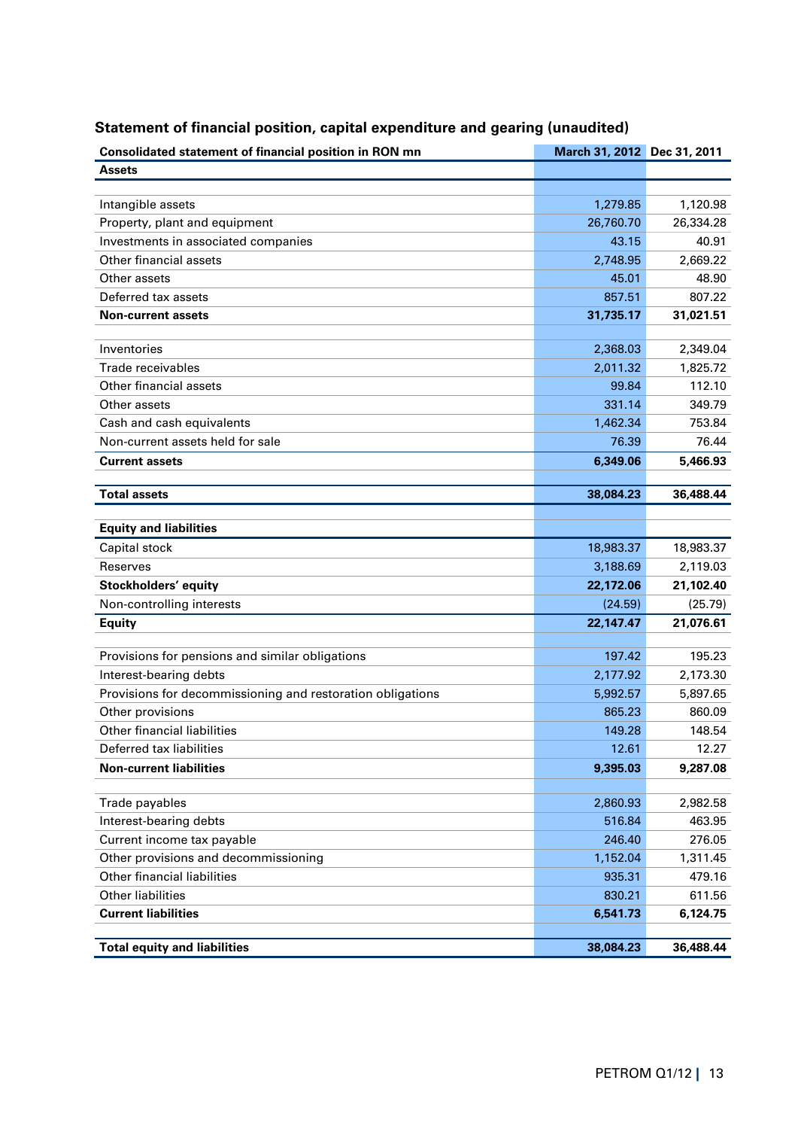| Consolidated statement of financial position in RON mn     | March 31, 2012 Dec 31, 2011 |           |
|------------------------------------------------------------|-----------------------------|-----------|
| <b>Assets</b>                                              |                             |           |
|                                                            |                             |           |
| Intangible assets                                          | 1,279.85                    | 1,120.98  |
| Property, plant and equipment                              | 26,760.70                   | 26,334.28 |
| Investments in associated companies                        | 43.15                       | 40.91     |
| Other financial assets                                     | 2,748.95                    | 2,669.22  |
| Other assets                                               | 45.01                       | 48.90     |
| Deferred tax assets                                        | 857.51                      | 807.22    |
| <b>Non-current assets</b>                                  | 31,735.17                   | 31,021.51 |
|                                                            |                             |           |
| Inventories                                                | 2,368.03                    | 2,349.04  |
| Trade receivables                                          | 2,011.32                    | 1,825.72  |
| Other financial assets                                     | 99.84                       | 112.10    |
| Other assets                                               | 331.14                      | 349.79    |
| Cash and cash equivalents                                  | 1,462.34                    | 753.84    |
| Non-current assets held for sale                           | 76.39                       | 76.44     |
| <b>Current assets</b>                                      | 6,349.06                    | 5,466.93  |
|                                                            |                             |           |
| <b>Total assets</b>                                        | 38,084.23                   | 36,488.44 |
| <b>Equity and liabilities</b>                              |                             |           |
| Capital stock                                              | 18,983.37                   | 18,983.37 |
| <b>Reserves</b>                                            | 3,188.69                    | 2,119.03  |
| Stockholders' equity                                       | 22,172.06                   | 21,102.40 |
| Non-controlling interests                                  | (24.59)                     | (25.79)   |
| <b>Equity</b>                                              | 22,147.47                   | 21,076.61 |
|                                                            |                             |           |
| Provisions for pensions and similar obligations            | 197.42                      | 195.23    |
| Interest-bearing debts                                     | 2,177.92                    | 2,173.30  |
| Provisions for decommissioning and restoration obligations | 5,992.57                    | 5,897.65  |
| Other provisions                                           | 865.23                      | 860.09    |
| Other financial liabilities                                | 149.28                      | 148.54    |
| Deferred tax liabilities                                   | 12.61                       | 12.27     |
| <b>Non-current liabilities</b>                             | 9,395.03                    | 9,287.08  |
| Trade payables                                             | 2,860.93                    | 2,982.58  |
| Interest-bearing debts                                     |                             | 463.95    |
|                                                            | 516.84                      | 276.05    |
| Current income tax payable                                 | 246.40                      |           |
| Other provisions and decommissioning                       | 1,152.04                    | 1,311.45  |
| Other financial liabilities<br><b>Other liabilities</b>    | 935.31                      | 479.16    |
|                                                            | 830.21                      | 611.56    |
| <b>Current liabilities</b>                                 | 6,541.73                    | 6,124.75  |
| <b>Total equity and liabilities</b>                        | 38,084.23                   | 36,488.44 |

# **Statement of financial position, capital expenditure and gearing (unaudited)**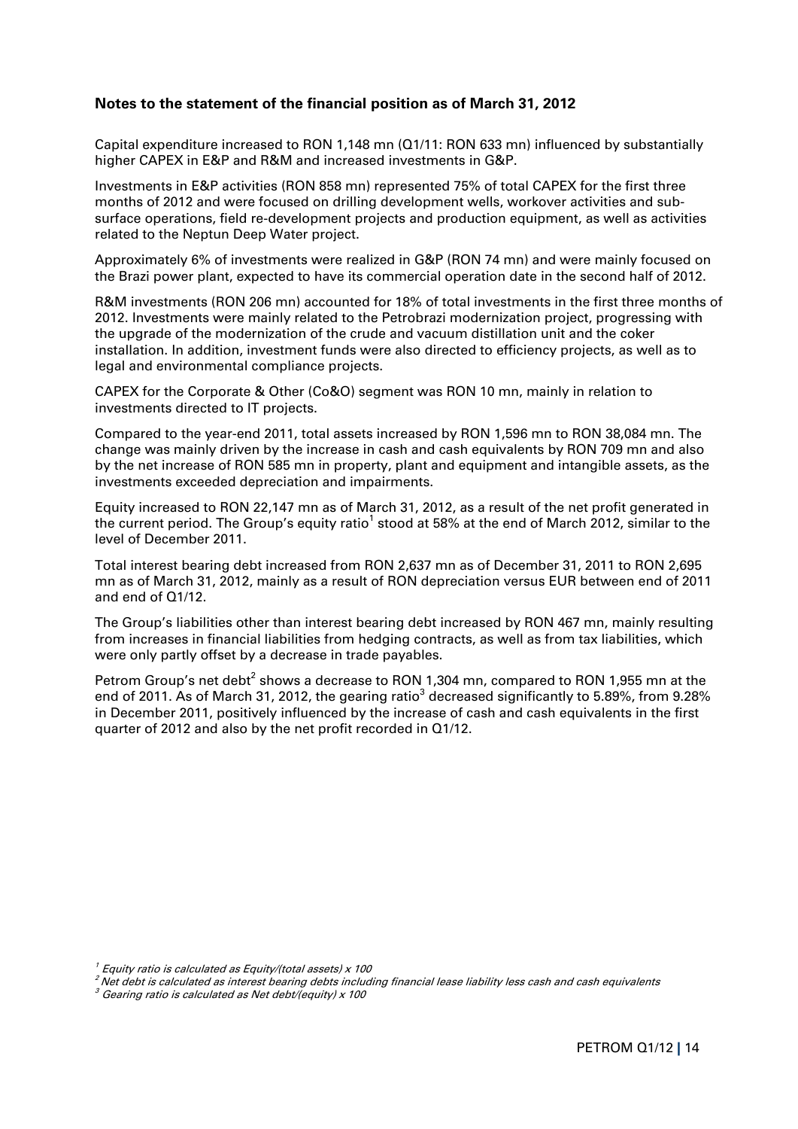# **Notes to the statement of the financial position as of March 31, 2012**

Capital expenditure increased to RON 1,148 mn (Q1/11: RON 633 mn) influenced by substantially higher CAPEX in E&P and R&M and increased investments in G&P.

Investments in E&P activities (RON 858 mn) represented 75% of total CAPEX for the first three months of 2012 and were focused on drilling development wells, workover activities and subsurface operations, field re-development projects and production equipment, as well as activities related to the Neptun Deep Water project.

Approximately 6% of investments were realized in G&P (RON 74 mn) and were mainly focused on the Brazi power plant, expected to have its commercial operation date in the second half of 2012.

R&M investments (RON 206 mn) accounted for 18% of total investments in the first three months of 2012. Investments were mainly related to the Petrobrazi modernization project, progressing with the upgrade of the modernization of the crude and vacuum distillation unit and the coker installation. In addition, investment funds were also directed to efficiency projects, as well as to legal and environmental compliance projects.

CAPEX for the Corporate & Other (Co&O) segment was RON 10 mn, mainly in relation to investments directed to IT projects.

Compared to the year-end 2011, total assets increased by RON 1,596 mn to RON 38,084 mn. The change was mainly driven by the increase in cash and cash equivalents by RON 709 mn and also by the net increase of RON 585 mn in property, plant and equipment and intangible assets, as the investments exceeded depreciation and impairments.

Equity increased to RON 22,147 mn as of March 31, 2012, as a result of the net profit generated in the current period. The Group's equity ratio $^1$  stood at 58% at the end of March 2012, similar to the level of December 2011.

Total interest bearing debt increased from RON 2,637 mn as of December 31, 2011 to RON 2,695 mn as of March 31, 2012, mainly as a result of RON depreciation versus EUR between end of 2011 and end of Q1/12.

The Group's liabilities other than interest bearing debt increased by RON 467 mn, mainly resulting from increases in financial liabilities from hedging contracts, as well as from tax liabilities, which were only partly offset by a decrease in trade payables.

Petrom Group's net debt<sup>2</sup> shows a decrease to RON 1,304 mn, compared to RON 1,955 mn at the end of 2011. As of March 31, 2012, the gearing ratio<sup>3</sup> decreased significantly to 5.89%, from 9.28% in December 2011, positively influenced by the increase of cash and cash equivalents in the first quarter of 2012 and also by the net profit recorded in Q1/12.

 $^{\prime}$  Equity ratio is calculated as Equity/(total assets) x 100

<sup>2</sup>Net debt is calculated as interest bearing debts including financial lease liability less cash and cash equivalents

 $3$  Gearing ratio is calculated as Net debt/(equity) x 100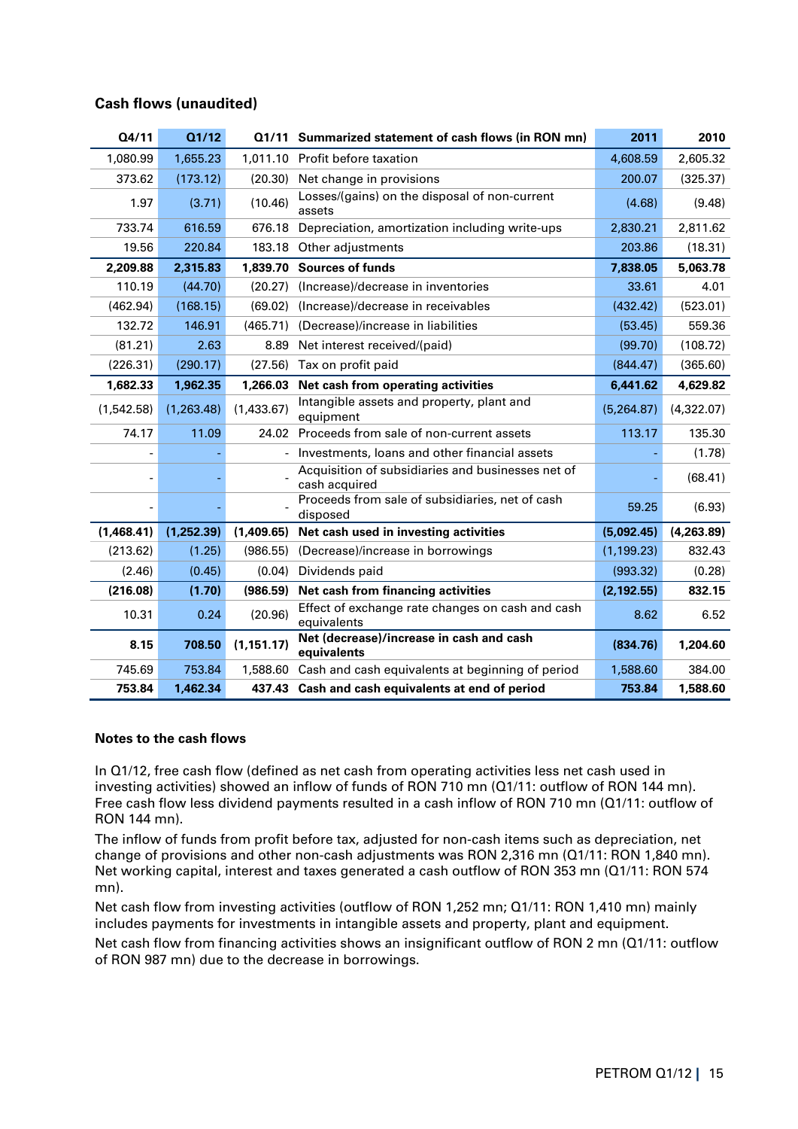| Q4/11      | Q1/12      |             | Q1/11 Summarized statement of cash flows (in RON mn)               | 2011        | 2010       |
|------------|------------|-------------|--------------------------------------------------------------------|-------------|------------|
| 1,080.99   | 1,655.23   |             | 1,011.10 Profit before taxation                                    | 4,608.59    | 2,605.32   |
| 373.62     | (173.12)   | (20.30)     | Net change in provisions                                           | 200.07      | (325.37)   |
| 1.97       | (3.71)     | (10.46)     | Losses/(gains) on the disposal of non-current<br>assets            | (4.68)      | (9.48)     |
| 733.74     | 616.59     | 676.18      | Depreciation, amortization including write-ups                     | 2,830.21    | 2,811.62   |
| 19.56      | 220.84     | 183.18      | Other adjustments                                                  | 203.86      | (18.31)    |
| 2,209.88   | 2,315.83   | 1,839.70    | <b>Sources of funds</b>                                            | 7,838.05    | 5,063.78   |
| 110.19     | (44.70)    | (20.27)     | (Increase)/decrease in inventories                                 | 33.61       | 4.01       |
| (462.94)   | (168.15)   | (69.02)     | (Increase)/decrease in receivables                                 | (432.42)    | (523.01)   |
| 132.72     | 146.91     | (465.71)    | (Decrease)/increase in liabilities                                 | (53.45)     | 559.36     |
| (81.21)    | 2.63       | 8.89        | Net interest received/(paid)                                       | (99.70)     | (108.72)   |
| (226.31)   | (290.17)   | (27.56)     | Tax on profit paid                                                 | (844.47)    | (365.60)   |
| 1,682.33   | 1,962.35   | 1,266.03    | Net cash from operating activities                                 | 6,441.62    | 4,629.82   |
| (1,542.58) | (1,263.48) | (1,433.67)  | Intangible assets and property, plant and<br>equipment             | (5,264.87)  | (4,322.07) |
| 74.17      | 11.09      | 24.02       | Proceeds from sale of non-current assets                           | 113.17      | 135.30     |
|            |            |             | Investments, loans and other financial assets                      |             | (1.78)     |
|            |            |             | Acquisition of subsidiaries and businesses net of<br>cash acquired |             | (68.41)    |
|            |            |             | Proceeds from sale of subsidiaries, net of cash<br>disposed        | 59.25       | (6.93)     |
| (1,468.41) | (1,252.39) | (1,409.65)  | Net cash used in investing activities                              | (5,092.45)  | (4,263.89) |
| (213.62)   | (1.25)     | (986.55)    | (Decrease)/increase in borrowings                                  | (1, 199.23) | 832.43     |
| (2.46)     | (0.45)     | (0.04)      | Dividends paid                                                     | (993.32)    | (0.28)     |
| (216.08)   | (1.70)     | (986.59)    | Net cash from financing activities                                 | (2, 192.55) | 832.15     |
| 10.31      | 0.24       | (20.96)     | Effect of exchange rate changes on cash and cash<br>equivalents    | 8.62        | 6.52       |
| 8.15       | 708.50     | (1, 151.17) | Net (decrease)/increase in cash and cash<br>equivalents            | (834.76)    | 1,204.60   |
| 745.69     | 753.84     | 1,588.60    | Cash and cash equivalents at beginning of period                   | 1,588.60    | 384.00     |
| 753.84     | 1,462.34   |             | 437.43 Cash and cash equivalents at end of period                  | 753.84      | 1,588.60   |

# **Cash flows (unaudited)**

#### **Notes to the cash flows**

In Q1/12, free cash flow (defined as net cash from operating activities less net cash used in investing activities) showed an inflow of funds of RON 710 mn (Q1/11: outflow of RON 144 mn). Free cash flow less dividend payments resulted in a cash inflow of RON 710 mn (Q1/11: outflow of RON 144 mn).

The inflow of funds from profit before tax, adjusted for non-cash items such as depreciation, net change of provisions and other non-cash adjustments was RON 2,316 mn (Q1/11: RON 1,840 mn). Net working capital, interest and taxes generated a cash outflow of RON 353 mn (Q1/11: RON 574 mn).

Net cash flow from investing activities (outflow of RON 1,252 mn; Q1/11: RON 1,410 mn) mainly includes payments for investments in intangible assets and property, plant and equipment.

Net cash flow from financing activities shows an insignificant outflow of RON 2 mn (Q1/11: outflow of RON 987 mn) due to the decrease in borrowings.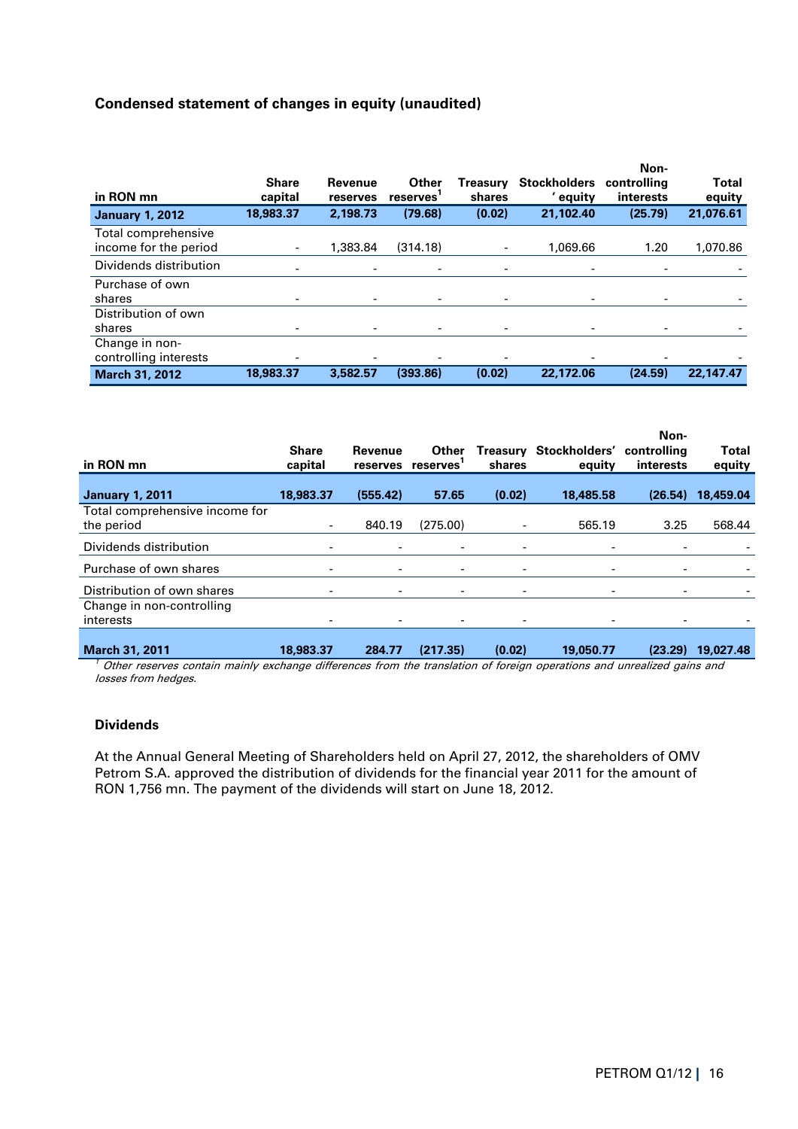# **Condensed statement of changes in equity (unaudited)**

| in RON mn                                    | <b>Share</b><br>capital | Revenue<br>reserves      | Other<br>reserves | Treasury<br>shares           | <b>Stockholders</b><br>' equity | Non-<br>controlling<br>interests | <b>Total</b><br>equity |
|----------------------------------------------|-------------------------|--------------------------|-------------------|------------------------------|---------------------------------|----------------------------------|------------------------|
| <b>January 1, 2012</b>                       | 18,983,37               | 2,198.73                 | (79.68)           | (0.02)                       | 21,102.40                       | (25.79)                          | 21.076.61              |
| Total comprehensive<br>income for the period |                         | 1,383.84                 | (314.18)          | $\overline{\phantom{a}}$     | 1.069.66                        | 1.20                             | 1,070.86               |
| Dividends distribution                       |                         | $\overline{\phantom{a}}$ |                   | $\overline{\phantom{0}}$     |                                 |                                  |                        |
| Purchase of own<br>shares                    |                         | -                        |                   | $\qquad \qquad \blacksquare$ |                                 | $\overline{\phantom{0}}$         |                        |
| Distribution of own<br>shares                |                         | -                        |                   |                              |                                 |                                  |                        |
| Change in non-<br>controlling interests      |                         | -                        |                   |                              |                                 | $\overline{\phantom{0}}$         |                        |
| <b>March 31, 2012</b>                        | 18,983,37               | 3,582,57                 | (393.86)          | (0.02)                       | 22,172.06                       | (24.59)                          | 22,147.47              |

| in RON mn                                    | <b>Share</b><br>capital | Revenue<br>reserves      | <b>Other</b><br>reserves | Treasury<br>shares           | Stockholders'<br>equity | Non-<br>controlling<br>interests | <b>Total</b><br>equity |
|----------------------------------------------|-------------------------|--------------------------|--------------------------|------------------------------|-------------------------|----------------------------------|------------------------|
| <b>January 1, 2011</b>                       | 18,983.37               | (555.42)                 | 57.65                    | (0.02)                       | 18,485.58               | (26.54)                          | 18,459.04              |
| Total comprehensive income for<br>the period |                         | 840.19                   | (275.00)                 |                              | 565.19                  | 3.25                             | 568.44                 |
| Dividends distribution                       |                         | -                        |                          |                              |                         |                                  |                        |
| Purchase of own shares                       |                         | -                        |                          |                              |                         |                                  |                        |
| Distribution of own shares                   |                         | $\overline{\phantom{a}}$ | $\overline{\phantom{a}}$ | $\qquad \qquad \blacksquare$ |                         |                                  |                        |
| Change in non-controlling<br>interests       |                         |                          |                          |                              |                         |                                  |                        |
| <b>March 31, 2011</b>                        | 18,983,37               | 284.77                   | (217.35)                 | (0.02)                       | 19,050.77               | (23.29)                          | 19,027.48              |

 $^7$  Other reserves contain mainly exchange differences from the translation of foreign operations and unrealized gains and losses from hedges.

#### **Dividends**

At the Annual General Meeting of Shareholders held on April 27, 2012, the shareholders of OMV Petrom S.A. approved the distribution of dividends for the financial year 2011 for the amount of RON 1,756 mn. The payment of the dividends will start on June 18, 2012.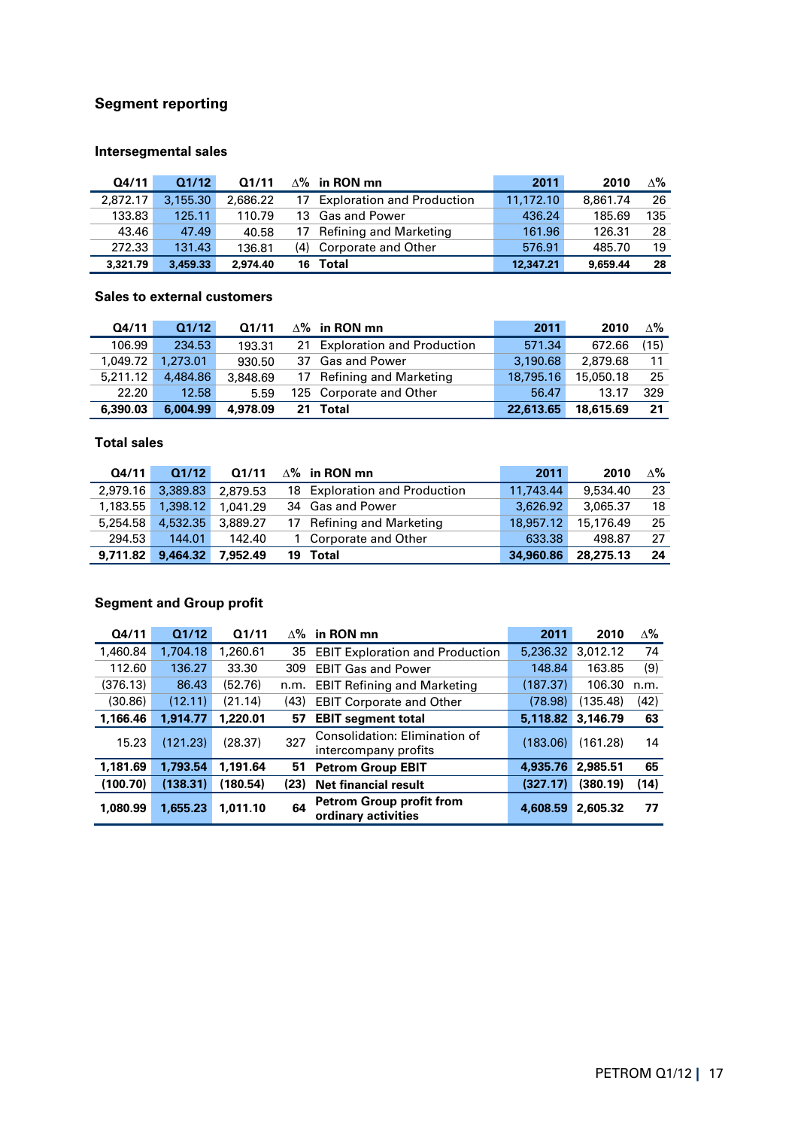# **Segment reporting**

# **Intersegmental sales**

| Q4/11    | Q1/12    | Q1/11    |     | $\Delta$ % in RON mn              | 2011      | 2010     | Δ‰  |
|----------|----------|----------|-----|-----------------------------------|-----------|----------|-----|
| 2.872.17 | 3.155.30 | 2.686.22 | 17  | <b>Exploration and Production</b> | 11,172.10 | 8.861.74 | 26  |
| 133.83   | 125.11   | 110.79   |     | 13 Gas and Power                  | 436.24    | 185.69   | 135 |
| 43.46    | 47.49    | 40.58    |     | 17 Refining and Marketing         | 161.96    | 126.31   | 28  |
| 272.33   | 131.43   | 136.81   | (4) | Corporate and Other               | 576.91    | 485.70   | 19  |
| 3,321.79 | 3,459.33 | 2.974.40 | 16  | Total                             | 12,347.21 | 9.659.44 | 28  |

#### **Sales to external customers**

| Q4/11    | Q1/12    | Q1/11    |    | $\Delta\%$ in RON mn          | 2011      | 2010      | $\Delta\%$ |
|----------|----------|----------|----|-------------------------------|-----------|-----------|------------|
| 106.99   | 234.53   | 193.31   |    | 21 Exploration and Production | 571.34    | 672.66    | (15)       |
| 1,049.72 | 1,273.01 | 930.50   |    | 37 Gas and Power              | 3,190.68  | 2.879.68  | 11         |
| 5.211.12 | 4,484.86 | 3,848.69 |    | 17 Refining and Marketing     | 18,795.16 | 15,050.18 | -25        |
| 22.20    | 12.58    | 5.59     |    | 125 Corporate and Other       | 56.47     | 13.17     | 329        |
| 6,390.03 | 6,004.99 | 4,978.09 | 21 | Total                         | 22,613.65 | 18,615.69 | 21         |

# **Total sales**

| Q4/11    | Q1/12    | Q1/11    |    | $\Delta$ % in RON mn          | 2011      | 2010      | $\Delta\%$ |
|----------|----------|----------|----|-------------------------------|-----------|-----------|------------|
| 2.979.16 | 3.389.83 | 2,879.53 |    | 18 Exploration and Production | 11.743.44 | 9,534,40  | 23         |
| 1.183.55 | 1,398.12 | 1.041.29 |    | 34 Gas and Power              | 3.626.92  | 3,065.37  | 18         |
| 5,254.58 | 4,532.35 | 3.889.27 |    | 17 Refining and Marketing     | 18,957.12 | 15,176.49 | 25         |
| 294.53   | 144.01   | 142.40   |    | 1 Corporate and Other         | 633.38    | 498.87    | 27         |
| 9.711.82 | 9,464.32 | 7,952,49 | 19 | Total                         | 34,960.86 | 28,275.13 | 24         |

# **Segment and Group profit**

| Q4/11    | Q1/12    | Q1/11    | $\Delta\%$ | in RON mn                                              | 2011     | 2010     | $\Delta\%$ |
|----------|----------|----------|------------|--------------------------------------------------------|----------|----------|------------|
| 1,460.84 | 1.704.18 | 1,260.61 | 35         | <b>EBIT Exploration and Production</b>                 | 5,236.32 | 3,012.12 | 74         |
| 112.60   | 136.27   | 33.30    | 309        | <b>EBIT Gas and Power</b>                              | 148.84   | 163.85   | (9)        |
| (376.13) | 86.43    | (52.76)  | n.m.       | <b>EBIT Refining and Marketing</b>                     | (187.37) | 106.30   | n.m.       |
| (30.86)  | (12.11)  | (21.14)  | (43)       | <b>EBIT Corporate and Other</b>                        | (78.98)  | (135.48) | (42)       |
| 1,166.46 | 1.914.77 | 1,220.01 | 57         | <b>EBIT segment total</b>                              | 5,118.82 | 3,146.79 | 63         |
| 15.23    | (121.23) | (28.37)  | 327        | Consolidation: Elimination of<br>intercompany profits  | (183.06) | (161.28) | 14         |
| 1,181.69 | 1,793.54 | 1,191.64 | 51         | <b>Petrom Group EBIT</b>                               | 4,935.76 | 2,985.51 | 65         |
| (100.70) | (138.31) | (180.54) | (23)       | <b>Net financial result</b>                            | (327.17) | (380.19) | (14)       |
| 1.080.99 | 1,655.23 | 1.011.10 | 64         | <b>Petrom Group profit from</b><br>ordinary activities | 4,608.59 | 2,605.32 | 77         |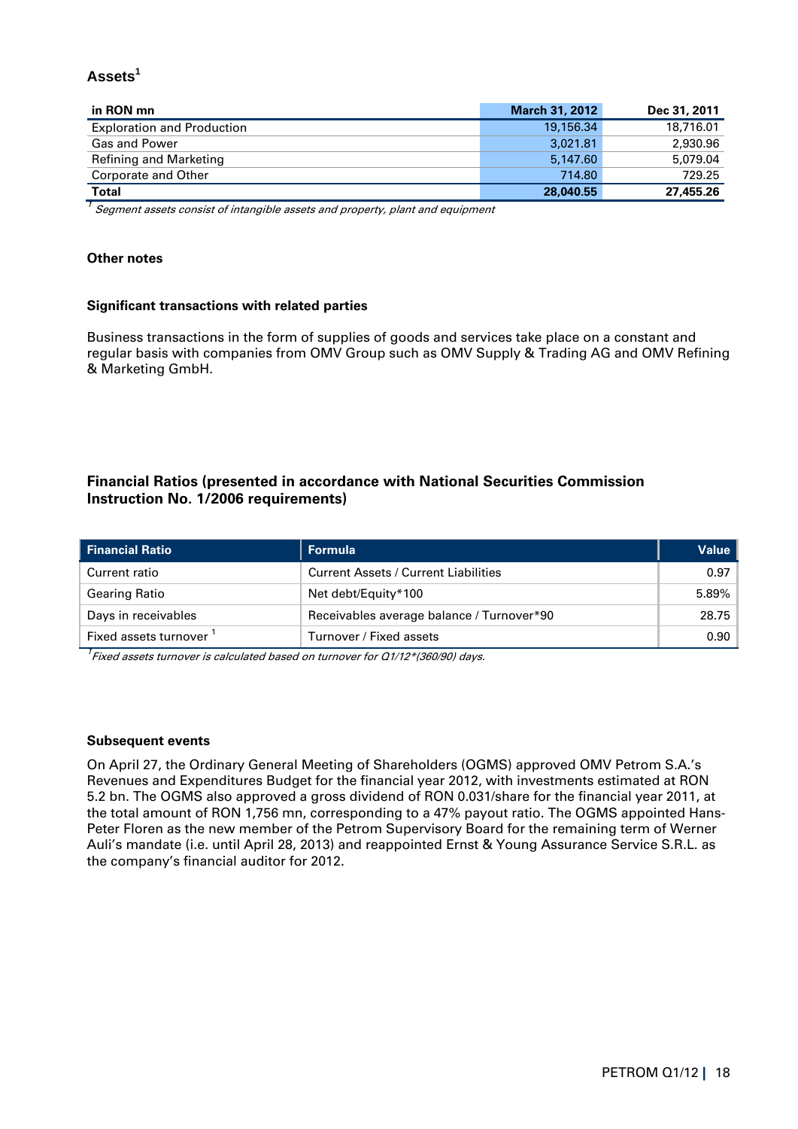# **Assets<sup>1</sup>**

| in RON mn                         | <b>March 31, 2012</b> | Dec 31, 2011 |
|-----------------------------------|-----------------------|--------------|
| <b>Exploration and Production</b> | 19,156.34             | 18,716.01    |
| <b>Gas and Power</b>              | 3,021.81              | 2.930.96     |
| <b>Refining and Marketing</b>     | 5.147.60              | 5,079.04     |
| Corporate and Other               | 714.80                | 729.25       |
| <b>Total</b>                      | 28,040.55             | 27,455.26    |

 $^7$  Segment assets consist of intangible assets and property, plant and equipment

#### **Other notes**

#### **Significant transactions with related parties**

Business transactions in the form of supplies of goods and services take place on a constant and regular basis with companies from OMV Group such as OMV Supply & Trading AG and OMV Refining & Marketing GmbH.

# **Financial Ratios (presented in accordance with National Securities Commission Instruction No. 1/2006 requirements)**

| <b>Financial Ratio</b> | Formula                                     | Value |
|------------------------|---------------------------------------------|-------|
| Current ratio          | <b>Current Assets / Current Liabilities</b> | 0.97  |
| <b>Gearing Ratio</b>   | Net debt/Equity*100                         | 5.89% |
| Days in receivables    | Receivables average balance / Turnover*90   | 28.75 |
| Fixed assets turnover  | Turnover / Fixed assets                     | 0.90  |

 $^7$ Fixed assets turnover is calculated based on turnover for Q1/12\*(360/90) days.

#### **Subsequent events**

On April 27, the Ordinary General Meeting of Shareholders (OGMS) approved OMV Petrom S.A.'s Revenues and Expenditures Budget for the financial year 2012, with investments estimated at RON 5.2 bn. The OGMS also approved a gross dividend of RON 0.031/share for the financial year 2011, at the total amount of RON 1,756 mn, corresponding to a 47% payout ratio. The OGMS appointed Hans-Peter Floren as the new member of the Petrom Supervisory Board for the remaining term of Werner Auli's mandate (i.e. until April 28, 2013) and reappointed Ernst & Young Assurance Service S.R.L. as the company's financial auditor for 2012.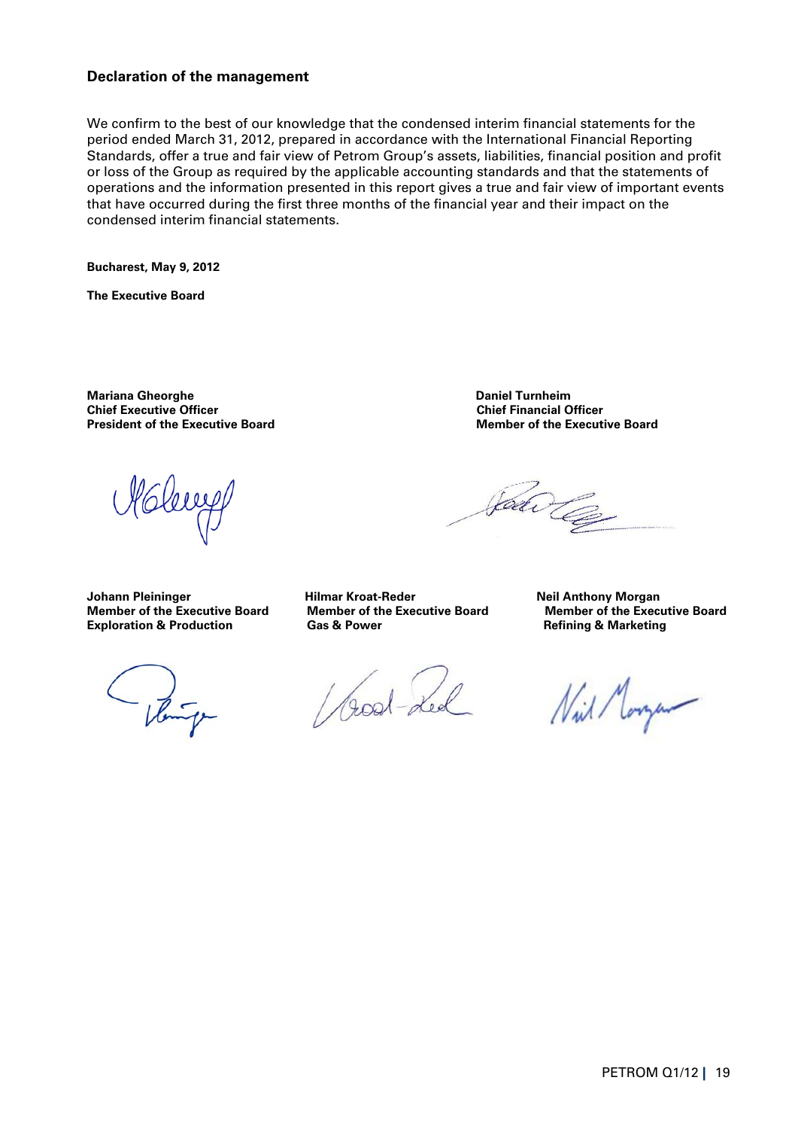### **Declaration of the management**

We confirm to the best of our knowledge that the condensed interim financial statements for the period ended March 31, 2012, prepared in accordance with the International Financial Reporting Standards, offer a true and fair view of Petrom Group's assets, liabilities, financial position and profit or loss of the Group as required by the applicable accounting standards and that the statements of operations and the information presented in this report gives a true and fair view of important events that have occurred during the first three months of the financial year and their impact on the condensed interim financial statements.

**Bucharest, May 9, 2012** 

**The Executive Board** 

**Mariana Gheorghe Daniel Turnheim Chief Executive Officer President of the Executive Board Community Community President of the Executive Board President of the Executive Board** 

leux

**Member of the Executive Board** Member of the Executive Board Member of the Executive Board **Member of the Executive Board Exploration All Exploration Member of the Executive Board Comparent Comparent Comparent Com Exploration & Production** 

- Vente

Good-Led

Jaar Ce

Johann Pleininger **Hilmar Kroat-Reder** Neil Anthony Morgan<br>Member of the Executive Board Member of the Executive Board Member of the Executive Board

Nil Morgan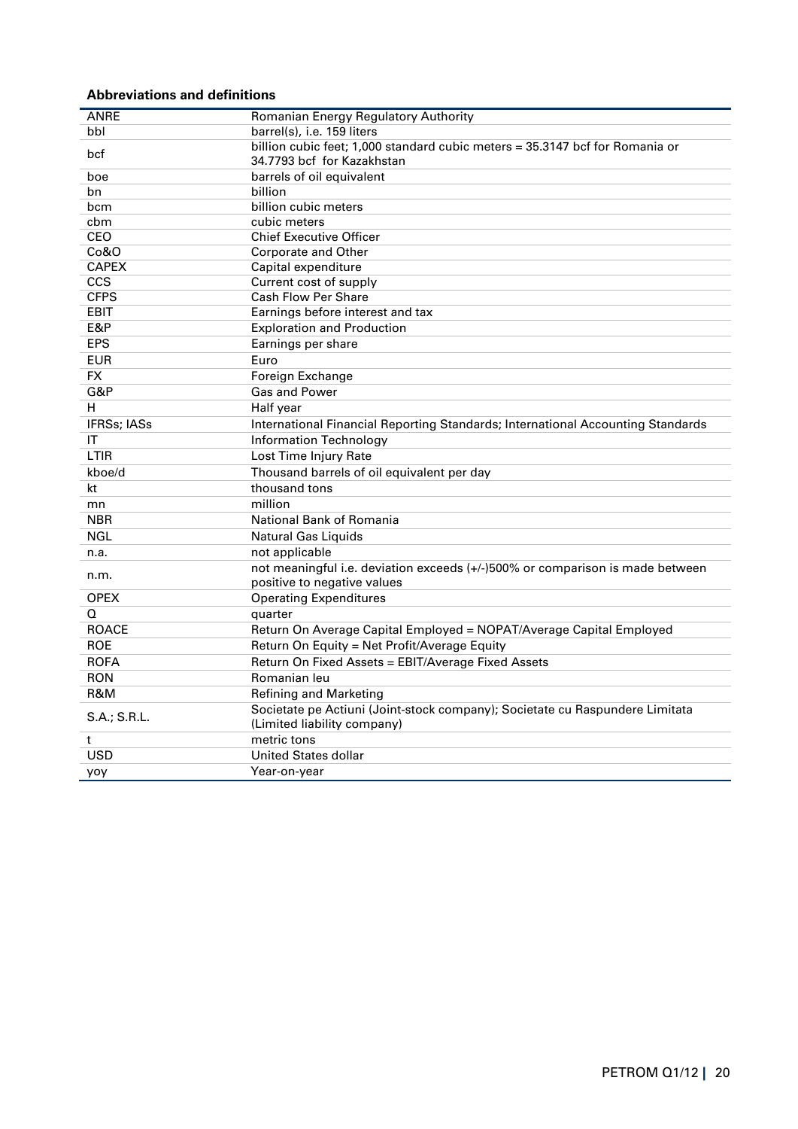# **Abbreviations and definitions**

| ANRE                                                                                                                                                               | Romanian Energy Regulatory Authority                                                                                                                                                                                                                                                                                                                                                                                                                                                                                                                                                                                                                                                                         |
|--------------------------------------------------------------------------------------------------------------------------------------------------------------------|--------------------------------------------------------------------------------------------------------------------------------------------------------------------------------------------------------------------------------------------------------------------------------------------------------------------------------------------------------------------------------------------------------------------------------------------------------------------------------------------------------------------------------------------------------------------------------------------------------------------------------------------------------------------------------------------------------------|
| bbl                                                                                                                                                                | barrel(s), i.e. 159 liters                                                                                                                                                                                                                                                                                                                                                                                                                                                                                                                                                                                                                                                                                   |
| bcf                                                                                                                                                                | billion cubic feet; 1,000 standard cubic meters = 35.3147 bcf for Romania or                                                                                                                                                                                                                                                                                                                                                                                                                                                                                                                                                                                                                                 |
|                                                                                                                                                                    | 34.7793 bcf for Kazakhstan                                                                                                                                                                                                                                                                                                                                                                                                                                                                                                                                                                                                                                                                                   |
| boe                                                                                                                                                                | barrels of oil equivalent                                                                                                                                                                                                                                                                                                                                                                                                                                                                                                                                                                                                                                                                                    |
| bn                                                                                                                                                                 | billion                                                                                                                                                                                                                                                                                                                                                                                                                                                                                                                                                                                                                                                                                                      |
| bcm                                                                                                                                                                | billion cubic meters                                                                                                                                                                                                                                                                                                                                                                                                                                                                                                                                                                                                                                                                                         |
| cbm                                                                                                                                                                | cubic meters                                                                                                                                                                                                                                                                                                                                                                                                                                                                                                                                                                                                                                                                                                 |
| CEO                                                                                                                                                                | <b>Chief Executive Officer</b>                                                                                                                                                                                                                                                                                                                                                                                                                                                                                                                                                                                                                                                                               |
| Co&O                                                                                                                                                               | Corporate and Other                                                                                                                                                                                                                                                                                                                                                                                                                                                                                                                                                                                                                                                                                          |
| <b>CAPEX</b>                                                                                                                                                       | Capital expenditure                                                                                                                                                                                                                                                                                                                                                                                                                                                                                                                                                                                                                                                                                          |
| <b>CCS</b>                                                                                                                                                         | Current cost of supply                                                                                                                                                                                                                                                                                                                                                                                                                                                                                                                                                                                                                                                                                       |
| <b>CFPS</b>                                                                                                                                                        | <b>Cash Flow Per Share</b>                                                                                                                                                                                                                                                                                                                                                                                                                                                                                                                                                                                                                                                                                   |
| <b>EBIT</b>                                                                                                                                                        | Earnings before interest and tax                                                                                                                                                                                                                                                                                                                                                                                                                                                                                                                                                                                                                                                                             |
| E&P                                                                                                                                                                | <b>Exploration and Production</b>                                                                                                                                                                                                                                                                                                                                                                                                                                                                                                                                                                                                                                                                            |
|                                                                                                                                                                    |                                                                                                                                                                                                                                                                                                                                                                                                                                                                                                                                                                                                                                                                                                              |
|                                                                                                                                                                    | Euro                                                                                                                                                                                                                                                                                                                                                                                                                                                                                                                                                                                                                                                                                                         |
| <b>FX</b>                                                                                                                                                          | Foreign Exchange                                                                                                                                                                                                                                                                                                                                                                                                                                                                                                                                                                                                                                                                                             |
| G&P                                                                                                                                                                | Gas and Power                                                                                                                                                                                                                                                                                                                                                                                                                                                                                                                                                                                                                                                                                                |
| н                                                                                                                                                                  | Half year                                                                                                                                                                                                                                                                                                                                                                                                                                                                                                                                                                                                                                                                                                    |
| <b>IFRSs; IASs</b>                                                                                                                                                 | International Financial Reporting Standards; International Accounting Standards                                                                                                                                                                                                                                                                                                                                                                                                                                                                                                                                                                                                                              |
| IT                                                                                                                                                                 | <b>Information Technology</b>                                                                                                                                                                                                                                                                                                                                                                                                                                                                                                                                                                                                                                                                                |
| <b>LTIR</b>                                                                                                                                                        | Lost Time Injury Rate                                                                                                                                                                                                                                                                                                                                                                                                                                                                                                                                                                                                                                                                                        |
| kboe/d                                                                                                                                                             |                                                                                                                                                                                                                                                                                                                                                                                                                                                                                                                                                                                                                                                                                                              |
| kt                                                                                                                                                                 | thousand tons                                                                                                                                                                                                                                                                                                                                                                                                                                                                                                                                                                                                                                                                                                |
| mn                                                                                                                                                                 | million                                                                                                                                                                                                                                                                                                                                                                                                                                                                                                                                                                                                                                                                                                      |
| <b>NBR</b>                                                                                                                                                         |                                                                                                                                                                                                                                                                                                                                                                                                                                                                                                                                                                                                                                                                                                              |
|                                                                                                                                                                    |                                                                                                                                                                                                                                                                                                                                                                                                                                                                                                                                                                                                                                                                                                              |
|                                                                                                                                                                    |                                                                                                                                                                                                                                                                                                                                                                                                                                                                                                                                                                                                                                                                                                              |
|                                                                                                                                                                    |                                                                                                                                                                                                                                                                                                                                                                                                                                                                                                                                                                                                                                                                                                              |
|                                                                                                                                                                    |                                                                                                                                                                                                                                                                                                                                                                                                                                                                                                                                                                                                                                                                                                              |
| <b>OPEX</b>                                                                                                                                                        |                                                                                                                                                                                                                                                                                                                                                                                                                                                                                                                                                                                                                                                                                                              |
| Q                                                                                                                                                                  |                                                                                                                                                                                                                                                                                                                                                                                                                                                                                                                                                                                                                                                                                                              |
|                                                                                                                                                                    |                                                                                                                                                                                                                                                                                                                                                                                                                                                                                                                                                                                                                                                                                                              |
|                                                                                                                                                                    |                                                                                                                                                                                                                                                                                                                                                                                                                                                                                                                                                                                                                                                                                                              |
|                                                                                                                                                                    |                                                                                                                                                                                                                                                                                                                                                                                                                                                                                                                                                                                                                                                                                                              |
|                                                                                                                                                                    |                                                                                                                                                                                                                                                                                                                                                                                                                                                                                                                                                                                                                                                                                                              |
|                                                                                                                                                                    |                                                                                                                                                                                                                                                                                                                                                                                                                                                                                                                                                                                                                                                                                                              |
|                                                                                                                                                                    |                                                                                                                                                                                                                                                                                                                                                                                                                                                                                                                                                                                                                                                                                                              |
|                                                                                                                                                                    |                                                                                                                                                                                                                                                                                                                                                                                                                                                                                                                                                                                                                                                                                                              |
|                                                                                                                                                                    |                                                                                                                                                                                                                                                                                                                                                                                                                                                                                                                                                                                                                                                                                                              |
|                                                                                                                                                                    |                                                                                                                                                                                                                                                                                                                                                                                                                                                                                                                                                                                                                                                                                                              |
|                                                                                                                                                                    |                                                                                                                                                                                                                                                                                                                                                                                                                                                                                                                                                                                                                                                                                                              |
| <b>EPS</b><br><b>EUR</b><br><b>NGL</b><br>n.a.<br>n.m.<br><b>ROACE</b><br><b>ROE</b><br><b>ROFA</b><br><b>RON</b><br>R&M<br>S.A.; S.R.L.<br>t<br><b>USD</b><br>yoy | Earnings per share<br>Thousand barrels of oil equivalent per day<br>National Bank of Romania<br>Natural Gas Liquids<br>not applicable<br>not meaningful i.e. deviation exceeds (+/-)500% or comparison is made between<br>positive to negative values<br><b>Operating Expenditures</b><br>quarter<br>Return On Average Capital Employed = NOPAT/Average Capital Employed<br>Return On Equity = Net Profit/Average Equity<br>Return On Fixed Assets = EBIT/Average Fixed Assets<br>Romanian leu<br><b>Refining and Marketing</b><br>Societate pe Actiuni (Joint-stock company); Societate cu Raspundere Limitata<br>(Limited liability company)<br>metric tons<br><b>United States dollar</b><br>Year-on-year |